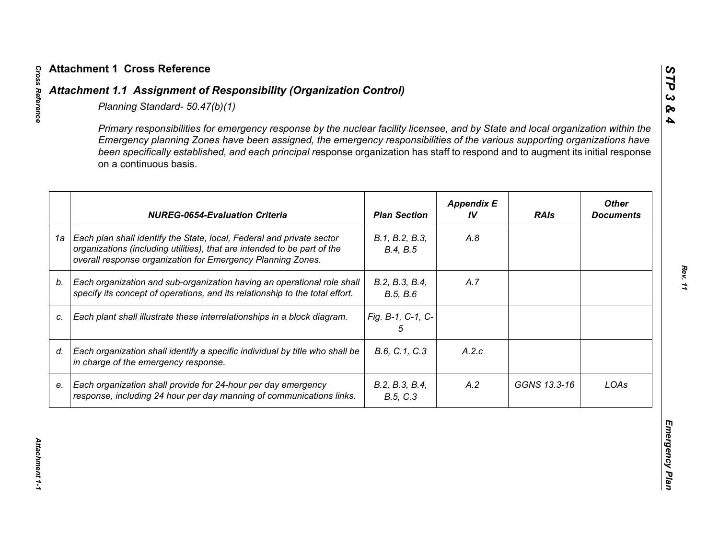|    | Primary responsibilities for emergency response by the nuclear facility licensee, and by State and local organization within the<br>Emergency planning Zones have been assigned, the emergency responsibilities of the various supporting organizations have<br>been specifically established, and each principal response organization has staff to respond and to augment its initial response<br>on a continuous basis. |                            |                         |              |                                  |
|----|----------------------------------------------------------------------------------------------------------------------------------------------------------------------------------------------------------------------------------------------------------------------------------------------------------------------------------------------------------------------------------------------------------------------------|----------------------------|-------------------------|--------------|----------------------------------|
|    | <b>NUREG-0654-Evaluation Criteria</b>                                                                                                                                                                                                                                                                                                                                                                                      | <b>Plan Section</b>        | <b>Appendix E</b><br>IV | <b>RAIs</b>  | <b>Other</b><br><b>Documents</b> |
| 1a | Each plan shall identify the State, local, Federal and private sector<br>organizations (including utilities), that are intended to be part of the<br>overall response organization for Emergency Planning Zones.                                                                                                                                                                                                           | B.1, B.2, B.3,<br>B.4, B.5 | A.8                     |              |                                  |
| b. | Each organization and sub-organization having an operational role shall<br>specify its concept of operations, and its relationship to the total effort.                                                                                                                                                                                                                                                                    | B.2, B.3, B.4,<br>B.5, B.6 | A.7                     |              |                                  |
| C. | Each plant shall illustrate these interrelationships in a block diagram.                                                                                                                                                                                                                                                                                                                                                   | Fig. B-1, C-1, C-<br>5     |                         |              |                                  |
| d. | Each organization shall identify a specific individual by title who shall be<br>in charge of the emergency response.                                                                                                                                                                                                                                                                                                       | B.6, C.1, C.3              | A.2.c                   |              |                                  |
| е. | Each organization shall provide for 24-hour per day emergency<br>response, including 24 hour per day manning of communications links.                                                                                                                                                                                                                                                                                      | B.2, B.3, B.4,<br>B.5, C.3 | A.2                     | GGNS 13.3-16 | LOAs                             |

*STP 3 & 4*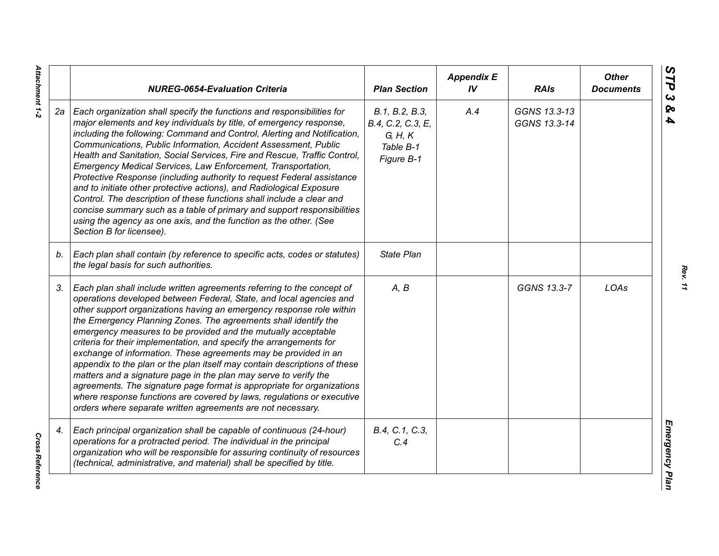|    | <b>NUREG-0654-Evaluation Criteria</b>                                                                                                                                                                                                                                                                                                                                                                                                                                                                                                                                                                                                                                                                                                                                                                                                                                   | <b>Plan Section</b>                                                       | <b>Appendix E</b><br>IV | <b>RAIs</b>                  | <b>Other</b><br><b>Documents</b> |
|----|-------------------------------------------------------------------------------------------------------------------------------------------------------------------------------------------------------------------------------------------------------------------------------------------------------------------------------------------------------------------------------------------------------------------------------------------------------------------------------------------------------------------------------------------------------------------------------------------------------------------------------------------------------------------------------------------------------------------------------------------------------------------------------------------------------------------------------------------------------------------------|---------------------------------------------------------------------------|-------------------------|------------------------------|----------------------------------|
|    | 2a   Each organization shall specify the functions and responsibilities for<br>major elements and key individuals by title, of emergency response,<br>including the following: Command and Control, Alerting and Notification,<br>Communications, Public Information, Accident Assessment, Public<br>Health and Sanitation, Social Services, Fire and Rescue, Traffic Control,<br>Emergency Medical Services, Law Enforcement, Transportation,<br>Protective Response (including authority to request Federal assistance<br>and to initiate other protective actions), and Radiological Exposure<br>Control. The description of these functions shall include a clear and<br>concise summary such as a table of primary and support responsibilities<br>using the agency as one axis, and the function as the other. (See<br>Section B for licensee).                   | B.1, B.2, B.3,<br>B.4, C.2, C.3, E,<br>G, H, K<br>Table B-1<br>Figure B-1 | A.4                     | GGNS 13.3-13<br>GGNS 13.3-14 |                                  |
| b. | Each plan shall contain (by reference to specific acts, codes or statutes)<br>the legal basis for such authorities.                                                                                                                                                                                                                                                                                                                                                                                                                                                                                                                                                                                                                                                                                                                                                     | State Plan                                                                |                         |                              |                                  |
| 3. | Each plan shall include written agreements referring to the concept of<br>operations developed between Federal, State, and local agencies and<br>other support organizations having an emergency response role within<br>the Emergency Planning Zones. The agreements shall identify the<br>emergency measures to be provided and the mutually acceptable<br>criteria for their implementation, and specify the arrangements for<br>exchange of information. These agreements may be provided in an<br>appendix to the plan or the plan itself may contain descriptions of these<br>matters and a signature page in the plan may serve to verify the<br>agreements. The signature page format is appropriate for organizations<br>where response functions are covered by laws, regulations or executive<br>orders where separate written agreements are not necessary. | A, B                                                                      |                         | GGNS 13.3-7                  | LOAs                             |
| 4. | Each principal organization shall be capable of continuous (24-hour)<br>operations for a protracted period. The individual in the principal<br>organization who will be responsible for assuring continuity of resources<br>(technical, administrative, and material) shall be specified by title.                                                                                                                                                                                                                                                                                                                                                                                                                                                                                                                                                                      | B.4, C.1, C.3,<br>C.4                                                     |                         |                              |                                  |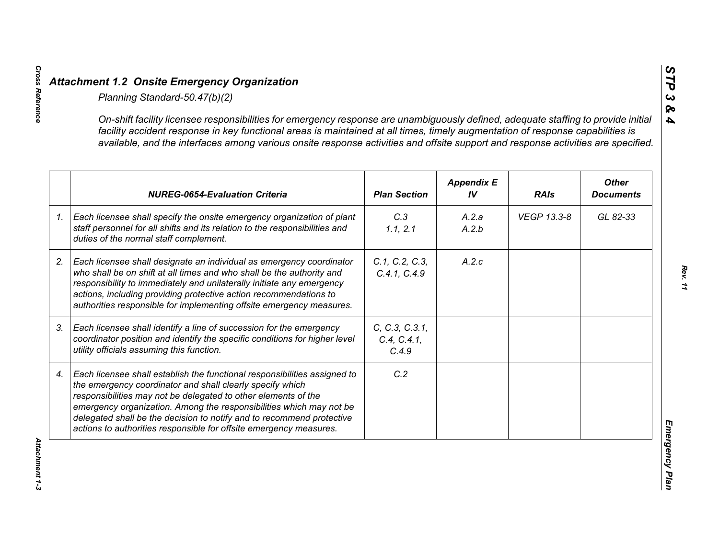|    | On-shift facility licensee responsibilities for emergency response are unambiguously defined, adequate staffing to provide initial<br>facility accident response in key functional areas is maintained at all times, timely augmentation of response capabilities is<br>available, and the interfaces among various onsite response activities and offsite support and response activities are specified.                      |                                        |                         |             |                                  |
|----|--------------------------------------------------------------------------------------------------------------------------------------------------------------------------------------------------------------------------------------------------------------------------------------------------------------------------------------------------------------------------------------------------------------------------------|----------------------------------------|-------------------------|-------------|----------------------------------|
|    | <b>NUREG-0654-Evaluation Criteria</b>                                                                                                                                                                                                                                                                                                                                                                                          | <b>Plan Section</b>                    | <b>Appendix E</b><br>IV | <b>RAIs</b> | <b>Other</b><br><b>Documents</b> |
| 1. | Each licensee shall specify the onsite emergency organization of plant<br>staff personnel for all shifts and its relation to the responsibilities and<br>duties of the normal staff complement.                                                                                                                                                                                                                                | C.3<br>1.1, 2.1                        | A.2.a<br>A.2.b          | VEGP 13.3-8 | GL 82-33                         |
|    | Each licensee shall designate an individual as emergency coordinator<br>who shall be on shift at all times and who shall be the authority and<br>responsibility to immediately and unilaterally initiate any emergency<br>actions, including providing protective action recommendations to<br>authorities responsible for implementing offsite emergency measures.                                                            | C.1, C.2, C.3,<br>C.4.1, C.4.9         | A.2.c                   |             |                                  |
|    | Each licensee shall identify a line of succession for the emergency<br>coordinator position and identify the specific conditions for higher level<br>utility officials assuming this function.                                                                                                                                                                                                                                 | C, C.3, C.3.1,<br>C.4, C.4.1,<br>C.4.9 |                         |             |                                  |
|    | Each licensee shall establish the functional responsibilities assigned to<br>the emergency coordinator and shall clearly specify which<br>responsibilities may not be delegated to other elements of the<br>emergency organization. Among the responsibilities which may not be<br>delegated shall be the decision to notify and to recommend protective<br>actions to authorities responsible for offsite emergency measures. | C.2                                    |                         |             |                                  |

*STP 3 & 4*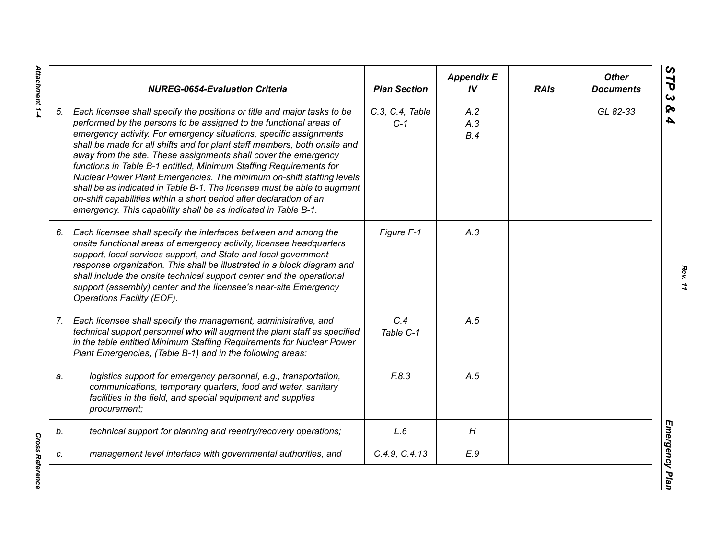|    | <b>NUREG-0654-Evaluation Criteria</b>                                                                                                                                                                                                                                                                                                                                                                                                                                                                                                                                                                                                                                                                                                    | <b>Plan Section</b>      | <b>Appendix E</b><br>IV | <b>RAIs</b> | <b>Other</b><br><b>Documents</b> |
|----|------------------------------------------------------------------------------------------------------------------------------------------------------------------------------------------------------------------------------------------------------------------------------------------------------------------------------------------------------------------------------------------------------------------------------------------------------------------------------------------------------------------------------------------------------------------------------------------------------------------------------------------------------------------------------------------------------------------------------------------|--------------------------|-------------------------|-------------|----------------------------------|
| 5. | Each licensee shall specify the positions or title and major tasks to be<br>performed by the persons to be assigned to the functional areas of<br>emergency activity. For emergency situations, specific assignments<br>shall be made for all shifts and for plant staff members, both onsite and<br>away from the site. These assignments shall cover the emergency<br>functions in Table B-1 entitled, Minimum Staffing Requirements for<br>Nuclear Power Plant Emergencies. The minimum on-shift staffing levels<br>shall be as indicated in Table B-1. The licensee must be able to augment<br>on-shift capabilities within a short period after declaration of an<br>emergency. This capability shall be as indicated in Table B-1. | C.3, C.4, Table<br>$C-1$ | A.2<br>A.3<br>B.4       |             | GL 82-33                         |
| 6. | Each licensee shall specify the interfaces between and among the<br>onsite functional areas of emergency activity, licensee headquarters<br>support, local services support, and State and local government<br>response organization. This shall be illustrated in a block diagram and<br>shall include the onsite technical support center and the operational<br>support (assembly) center and the licensee's near-site Emergency<br>Operations Facility (EOF).                                                                                                                                                                                                                                                                        | Figure F-1               | A.3                     |             |                                  |
| 7. | Each licensee shall specify the management, administrative, and<br>technical support personnel who will augment the plant staff as specified<br>in the table entitled Minimum Staffing Requirements for Nuclear Power<br>Plant Emergencies, (Table B-1) and in the following areas:                                                                                                                                                                                                                                                                                                                                                                                                                                                      | C.4<br>Table C-1         | A.5                     |             |                                  |
| a. | logistics support for emergency personnel, e.g., transportation,<br>communications, temporary quarters, food and water, sanitary<br>facilities in the field, and special equipment and supplies<br>procurement;                                                                                                                                                                                                                                                                                                                                                                                                                                                                                                                          | F.8.3                    | A.5                     |             |                                  |
| b. | technical support for planning and reentry/recovery operations;                                                                                                                                                                                                                                                                                                                                                                                                                                                                                                                                                                                                                                                                          | L.6                      | H                       |             |                                  |
| c. | management level interface with governmental authorities, and                                                                                                                                                                                                                                                                                                                                                                                                                                                                                                                                                                                                                                                                            | C.4.9, C.4.13            | E.9                     |             |                                  |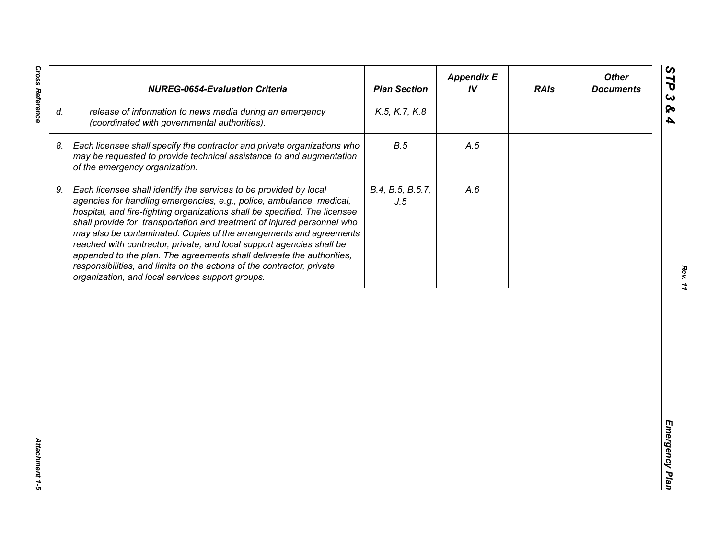| release of information to news media during an emergency<br>K.5, K.7, K.8<br>(coordinated with governmental authorities).<br>B.5<br>Each licensee shall specify the contractor and private organizations who<br>A.5<br>may be requested to provide technical assistance to and augmentation<br>of the emergency organization.<br>Each licensee shall identify the services to be provided by local<br>B.4, B.5, B.5.7,<br>A.6<br>agencies for handling emergencies, e.g., police, ambulance, medical,<br>J.5<br>hospital, and fire-fighting organizations shall be specified. The licensee<br>shall provide for transportation and treatment of injured personnel who<br>may also be contaminated. Copies of the arrangements and agreements<br>reached with contractor, private, and local support agencies shall be | appended to the plan. The agreements shall delineate the authorities,<br>responsibilities, and limits on the actions of the contractor, private<br>organization, and local services support groups. |    | <b>NUREG-0654-Evaluation Criteria</b> | <b>Plan Section</b> | <b>Appendix E</b><br>IV | <b>RAIs</b> | <b>Other</b><br><b>Documents</b> |
|-----------------------------------------------------------------------------------------------------------------------------------------------------------------------------------------------------------------------------------------------------------------------------------------------------------------------------------------------------------------------------------------------------------------------------------------------------------------------------------------------------------------------------------------------------------------------------------------------------------------------------------------------------------------------------------------------------------------------------------------------------------------------------------------------------------------------|-----------------------------------------------------------------------------------------------------------------------------------------------------------------------------------------------------|----|---------------------------------------|---------------------|-------------------------|-------------|----------------------------------|
|                                                                                                                                                                                                                                                                                                                                                                                                                                                                                                                                                                                                                                                                                                                                                                                                                       |                                                                                                                                                                                                     | d. |                                       |                     |                         |             |                                  |
|                                                                                                                                                                                                                                                                                                                                                                                                                                                                                                                                                                                                                                                                                                                                                                                                                       |                                                                                                                                                                                                     | 8. |                                       |                     |                         |             |                                  |
|                                                                                                                                                                                                                                                                                                                                                                                                                                                                                                                                                                                                                                                                                                                                                                                                                       |                                                                                                                                                                                                     | 9. |                                       |                     |                         |             |                                  |
|                                                                                                                                                                                                                                                                                                                                                                                                                                                                                                                                                                                                                                                                                                                                                                                                                       |                                                                                                                                                                                                     |    |                                       |                     |                         |             |                                  |
|                                                                                                                                                                                                                                                                                                                                                                                                                                                                                                                                                                                                                                                                                                                                                                                                                       |                                                                                                                                                                                                     |    |                                       |                     |                         |             |                                  |
|                                                                                                                                                                                                                                                                                                                                                                                                                                                                                                                                                                                                                                                                                                                                                                                                                       |                                                                                                                                                                                                     |    |                                       |                     |                         |             |                                  |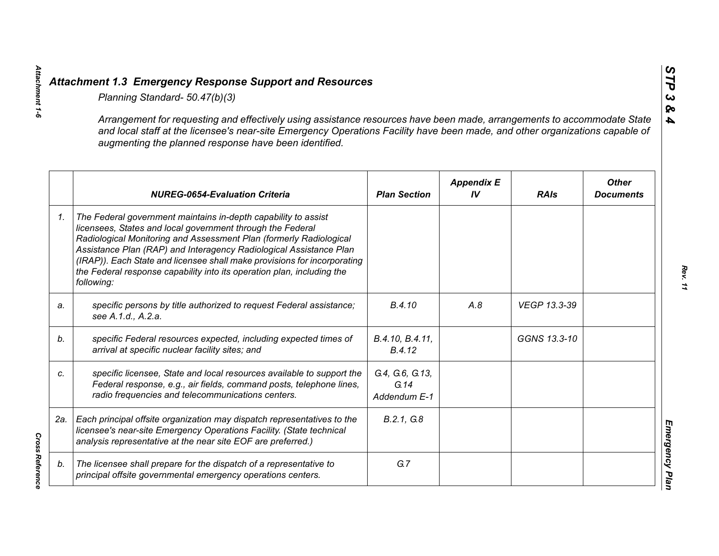*Attachment 1-6*

Attachment 1-6

*Cross Reference* 

|    | Planning Standard- 50.47(b)(3)                                                                                                                                                                                                                                                                                                                                                                                                               |                                         |                         |              |                                  |
|----|----------------------------------------------------------------------------------------------------------------------------------------------------------------------------------------------------------------------------------------------------------------------------------------------------------------------------------------------------------------------------------------------------------------------------------------------|-----------------------------------------|-------------------------|--------------|----------------------------------|
|    | Arrangement for requesting and effectively using assistance resources have been made, arrangements to accommodate State<br>and local staff at the licensee's near-site Emergency Operations Facility have been made, and other organizations capable of<br>augmenting the planned response have been identified.                                                                                                                             |                                         |                         |              |                                  |
|    | <b>NUREG-0654-Evaluation Criteria</b>                                                                                                                                                                                                                                                                                                                                                                                                        | <b>Plan Section</b>                     | <b>Appendix E</b><br>IV | <b>RAIs</b>  | <b>Other</b><br><b>Documents</b> |
| 1. | The Federal government maintains in-depth capability to assist<br>licensees, States and local government through the Federal<br>Radiological Monitoring and Assessment Plan (formerly Radiological<br>Assistance Plan (RAP) and Interagency Radiological Assistance Plan<br>(IRAP)). Each State and licensee shall make provisions for incorporating<br>the Federal response capability into its operation plan, including the<br>following: |                                         |                         |              |                                  |
| a. | specific persons by title authorized to request Federal assistance;<br>see A.1.d., A.2.a.                                                                                                                                                                                                                                                                                                                                                    | B.4.10                                  | A.8                     | VEGP 13.3-39 |                                  |
| b. | specific Federal resources expected, including expected times of<br>arrival at specific nuclear facility sites; and                                                                                                                                                                                                                                                                                                                          | B.4.10, B.4.11,<br>B.4.12               |                         | GGNS 13.3-10 |                                  |
| C. | specific licensee, State and local resources available to support the<br>Federal response, e.g., air fields, command posts, telephone lines,<br>radio frequencies and telecommunications centers.                                                                                                                                                                                                                                            | G.4, G.6, G.13,<br>G.14<br>Addendum E-1 |                         |              |                                  |
|    | 2a.   Each principal offsite organization may dispatch representatives to the<br>licensee's near-site Emergency Operations Facility. (State technical<br>analysis representative at the near site EOF are preferred.)                                                                                                                                                                                                                        | B.2.1, G.8                              |                         |              |                                  |
| b. | The licensee shall prepare for the dispatch of a representative to<br>principal offsite governmental emergency operations centers.                                                                                                                                                                                                                                                                                                           | G.7                                     |                         |              |                                  |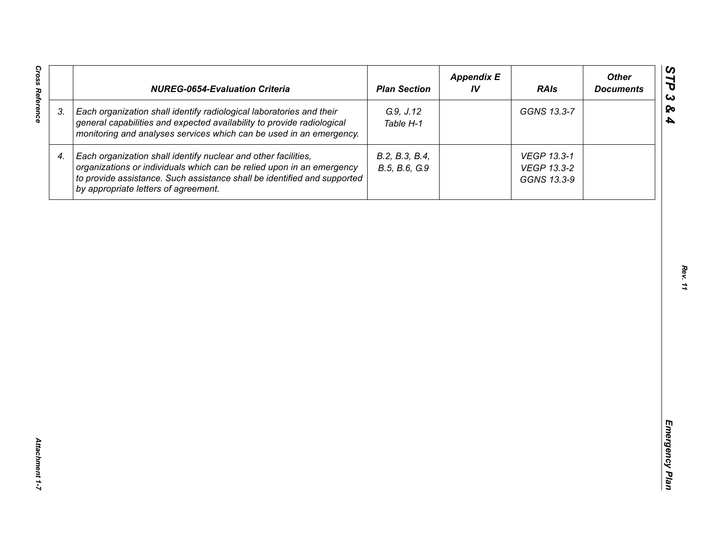| <b>Cross Reference</b> | <b>NUREG-0654-Evaluation Criteria</b>                                                                                                                                                                                                                       | <b>Plan Section</b>             | <b>Appendix E</b><br>IV | <b>RAIs</b>                               | <b>Other</b><br><b>Documents</b> |
|------------------------|-------------------------------------------------------------------------------------------------------------------------------------------------------------------------------------------------------------------------------------------------------------|---------------------------------|-------------------------|-------------------------------------------|----------------------------------|
| 3.                     | Each organization shall identify radiological laboratories and their<br>general capabilities and expected availability to provide radiological<br>monitoring and analyses services which can be used in an emergency.                                       | G.9, J.12<br>Table H-1          |                         | GGNS 13.3-7                               |                                  |
| 4.                     | Each organization shall identify nuclear and other facilities,<br>organizations or individuals which can be relied upon in an emergency<br>to provide assistance. Such assistance shall be identified and supported<br>by appropriate letters of agreement. | B.2, B.3, B.4,<br>B.5, B.6, G.9 |                         | VEGP 13.3-1<br>VEGP 13.3-2<br>GGNS 13.3-9 |                                  |
|                        |                                                                                                                                                                                                                                                             |                                 |                         |                                           |                                  |
|                        |                                                                                                                                                                                                                                                             |                                 |                         |                                           |                                  |
|                        |                                                                                                                                                                                                                                                             |                                 |                         |                                           |                                  |
|                        |                                                                                                                                                                                                                                                             |                                 |                         |                                           |                                  |
|                        |                                                                                                                                                                                                                                                             |                                 |                         |                                           |                                  |
|                        |                                                                                                                                                                                                                                                             |                                 |                         |                                           |                                  |
| Attachment 1-7         |                                                                                                                                                                                                                                                             |                                 |                         |                                           |                                  |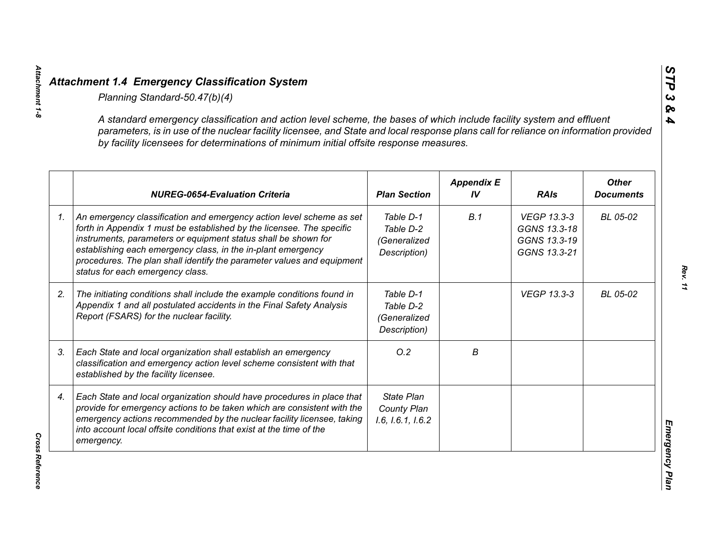| A standard emergency classification and action level scheme, the bases of which include facility system and effluent<br>parameters, is in use of the nuclear facility licensee, and State and local response plans call for reliance on information provided<br>by facility licensees for determinations of minimum initial offsite response measures.                                        |                                                        |                         |                                                             |                                  |
|-----------------------------------------------------------------------------------------------------------------------------------------------------------------------------------------------------------------------------------------------------------------------------------------------------------------------------------------------------------------------------------------------|--------------------------------------------------------|-------------------------|-------------------------------------------------------------|----------------------------------|
| <b>NUREG-0654-Evaluation Criteria</b>                                                                                                                                                                                                                                                                                                                                                         | <b>Plan Section</b>                                    | <b>Appendix E</b><br>IV | <b>RAIs</b>                                                 | <b>Other</b><br><b>Documents</b> |
| An emergency classification and emergency action level scheme as set<br>forth in Appendix 1 must be established by the licensee. The specific<br>instruments, parameters or equipment status shall be shown for<br>establishing each emergency class, in the in-plant emergency<br>procedures. The plan shall identify the parameter values and equipment<br>status for each emergency class. | Table D-1<br>Table D-2<br>(Generalized<br>Description) | B.1                     | VEGP 13.3-3<br>GGNS 13.3-18<br>GGNS 13.3-19<br>GGNS 13.3-21 | BL 05-02                         |
| The initiating conditions shall include the example conditions found in<br>Appendix 1 and all postulated accidents in the Final Safety Analysis<br>Report (FSARS) for the nuclear facility.                                                                                                                                                                                                   | Table D-1<br>Table D-2<br>(Generalized<br>Description) |                         | <b>VEGP 13.3-3</b>                                          | BL 05-02                         |
| Each State and local organization shall establish an emergency<br>classification and emergency action level scheme consistent with that<br>established by the facility licensee.                                                                                                                                                                                                              | O.2                                                    | В                       |                                                             |                                  |
| Each State and local organization should have procedures in place that<br>provide for emergency actions to be taken which are consistent with the<br>emergency actions recommended by the nuclear facility licensee, taking<br>into account local offsite conditions that exist at the time of the<br>emergency.                                                                              | <b>State Plan</b><br>County Plan<br>1.6, 1.6.1, 1.6.2  |                         |                                                             |                                  |

**Cross Reference** *Cross Reference* 

*Attachment 1-8*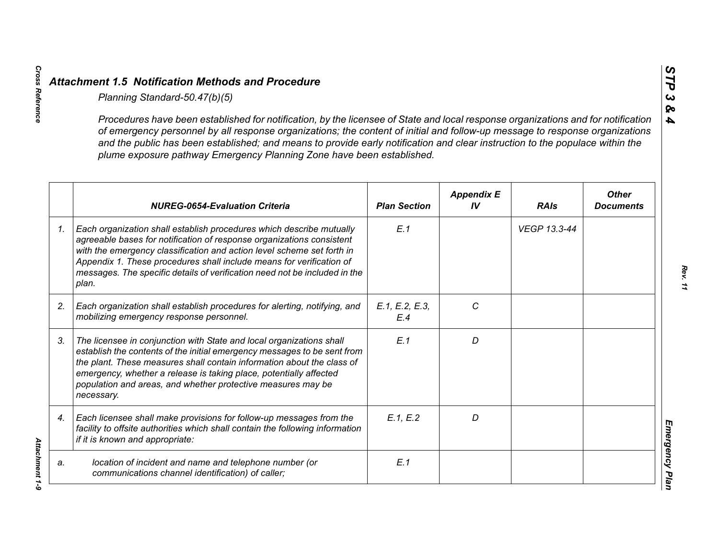*Cross Reference Attachment 1-9*

Attachment 1-9

|                 | Planning Standard-50.47(b)(5)                                                                                                                                                                                                                                                                                                                                                                                                                                               |                       |                         |              |                                  |
|-----------------|-----------------------------------------------------------------------------------------------------------------------------------------------------------------------------------------------------------------------------------------------------------------------------------------------------------------------------------------------------------------------------------------------------------------------------------------------------------------------------|-----------------------|-------------------------|--------------|----------------------------------|
|                 | Procedures have been established for notification, by the licensee of State and local response organizations and for notification<br>of emergency personnel by all response organizations; the content of initial and follow-up message to response organizations<br>and the public has been established; and means to provide early notification and clear instruction to the populace within the<br>plume exposure pathway Emergency Planning Zone have been established. |                       |                         |              |                                  |
|                 | <b>NUREG-0654-Evaluation Criteria</b>                                                                                                                                                                                                                                                                                                                                                                                                                                       | <b>Plan Section</b>   | <b>Appendix E</b><br>IV | <b>RAIs</b>  | <b>Other</b><br><b>Documents</b> |
| $\mathcal{I}$ . | Each organization shall establish procedures which describe mutually<br>agreeable bases for notification of response organizations consistent<br>with the emergency classification and action level scheme set forth in<br>Appendix 1. These procedures shall include means for verification of<br>messages. The specific details of verification need not be included in the<br>plan.                                                                                      | E.1                   |                         | VEGP 13.3-44 |                                  |
| 2.              | Each organization shall establish procedures for alerting, notifying, and<br>mobilizing emergency response personnel.                                                                                                                                                                                                                                                                                                                                                       | E.1, E.2, E.3,<br>E.4 | C                       |              |                                  |
| 3.              | The licensee in conjunction with State and local organizations shall<br>establish the contents of the initial emergency messages to be sent from<br>the plant. These measures shall contain information about the class of<br>emergency, whether a release is taking place, potentially affected<br>population and areas, and whether protective measures may be<br>necessary.                                                                                              | E.1                   | D                       |              |                                  |
| 4.              | Each licensee shall make provisions for follow-up messages from the<br>facility to offsite authorities which shall contain the following information<br>if it is known and appropriate:                                                                                                                                                                                                                                                                                     | E.1, E.2              | D                       |              |                                  |
| a.              | location of incident and name and telephone number (or<br>communications channel identification) of caller;                                                                                                                                                                                                                                                                                                                                                                 | E.1                   |                         |              |                                  |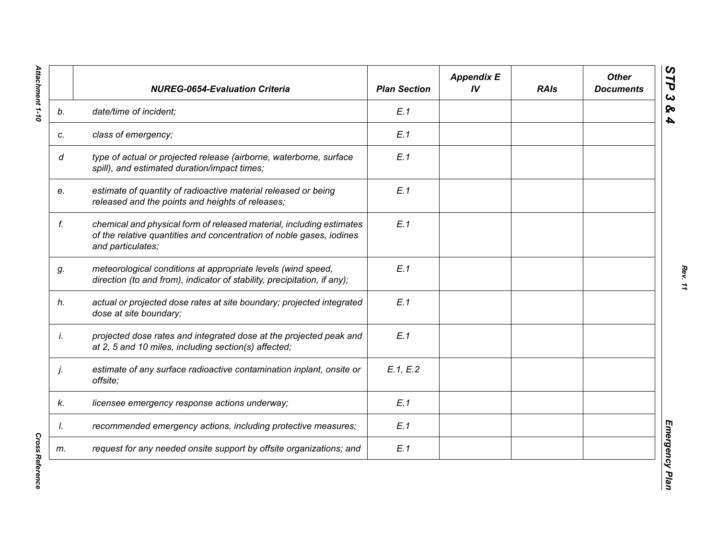|    | <b>NUREG-0654-Evaluation Criteria</b>                                                                                                                             | <b>Plan Section</b> | <b>Appendix E</b><br>IV | <b>RAIs</b> | <b>Other</b><br><b>Documents</b> |
|----|-------------------------------------------------------------------------------------------------------------------------------------------------------------------|---------------------|-------------------------|-------------|----------------------------------|
| b. | date/time of incident;                                                                                                                                            | E.1                 |                         |             |                                  |
| c. | class of emergency;                                                                                                                                               | E.1                 |                         |             |                                  |
| d  | type of actual or projected release (airborne, waterborne, surface<br>spill), and estimated duration/impact times;                                                | E.1                 |                         |             |                                  |
| e. | estimate of quantity of radioactive material released or being<br>released and the points and heights of releases;                                                | E.1                 |                         |             |                                  |
| f. | chemical and physical form of released material, including estimates<br>of the relative quantities and concentration of noble gases, iodines<br>and particulates; | E.1                 |                         |             |                                  |
| g. | meteorological conditions at appropriate levels (wind speed,<br>direction (to and from), indicator of stability, precipitation, if any);                          | E.1                 |                         |             |                                  |
| h. | actual or projected dose rates at site boundary; projected integrated<br>dose at site boundary;                                                                   | E.1                 |                         |             |                                  |
| İ. | projected dose rates and integrated dose at the projected peak and<br>at 2, 5 and 10 miles, including section(s) affected;                                        | E.1                 |                         |             |                                  |
| j. | estimate of any surface radioactive contamination inplant, onsite or<br>offsite;                                                                                  | E.1, E.2            |                         |             |                                  |
| k. | licensee emergency response actions underway;                                                                                                                     | E.1                 |                         |             |                                  |
| I. | recommended emergency actions, including protective measures;                                                                                                     | E.1                 |                         |             |                                  |
| m. | request for any needed onsite support by offsite organizations; and                                                                                               | E.1                 |                         |             |                                  |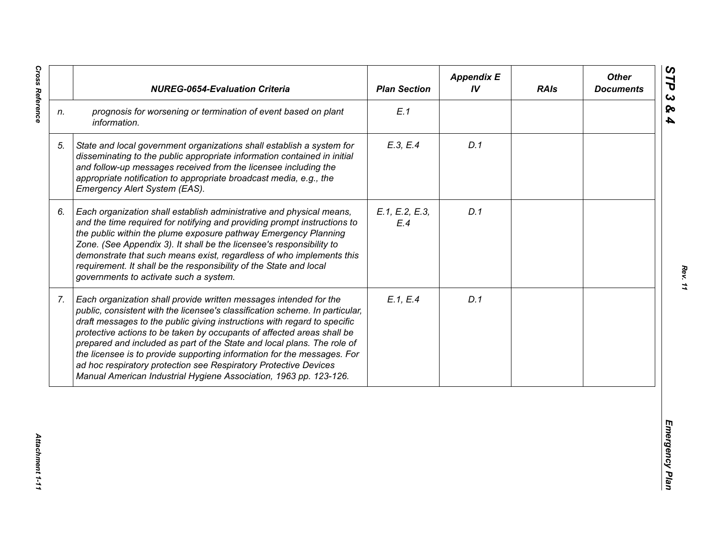|                | <b>NUREG-0654-Evaluation Criteria</b>                                                                                                                                                                                                                                                                                                                                                                                                                                                                                                                                                                  | <b>Plan Section</b>   | <b>Appendix E</b><br>IV | <b>RAIs</b> | <b>Other</b><br><b>Documents</b> |
|----------------|--------------------------------------------------------------------------------------------------------------------------------------------------------------------------------------------------------------------------------------------------------------------------------------------------------------------------------------------------------------------------------------------------------------------------------------------------------------------------------------------------------------------------------------------------------------------------------------------------------|-----------------------|-------------------------|-------------|----------------------------------|
| n.             | prognosis for worsening or termination of event based on plant<br>information.                                                                                                                                                                                                                                                                                                                                                                                                                                                                                                                         | E.1                   |                         |             |                                  |
| 5.             | State and local government organizations shall establish a system for<br>disseminating to the public appropriate information contained in initial<br>and follow-up messages received from the licensee including the<br>appropriate notification to appropriate broadcast media, e.g., the<br>Emergency Alert System (EAS).                                                                                                                                                                                                                                                                            | E.3, E.4              | D.1                     |             |                                  |
| 6.             | Each organization shall establish administrative and physical means,<br>and the time required for notifying and providing prompt instructions to<br>the public within the plume exposure pathway Emergency Planning<br>Zone. (See Appendix 3). It shall be the licensee's responsibility to<br>demonstrate that such means exist, regardless of who implements this<br>requirement. It shall be the responsibility of the State and local<br>governments to activate such a system.                                                                                                                    | E.1, E.2, E.3,<br>E.4 | D.1                     |             |                                  |
| 7 <sub>1</sub> | Each organization shall provide written messages intended for the<br>public, consistent with the licensee's classification scheme. In particular,<br>draft messages to the public giving instructions with regard to specific<br>protective actions to be taken by occupants of affected areas shall be<br>prepared and included as part of the State and local plans. The role of<br>the licensee is to provide supporting information for the messages. For<br>ad hoc respiratory protection see Respiratory Protective Devices<br>Manual American Industrial Hygiene Association, 1963 pp. 123-126. | E.1, E.4              | D.1                     |             |                                  |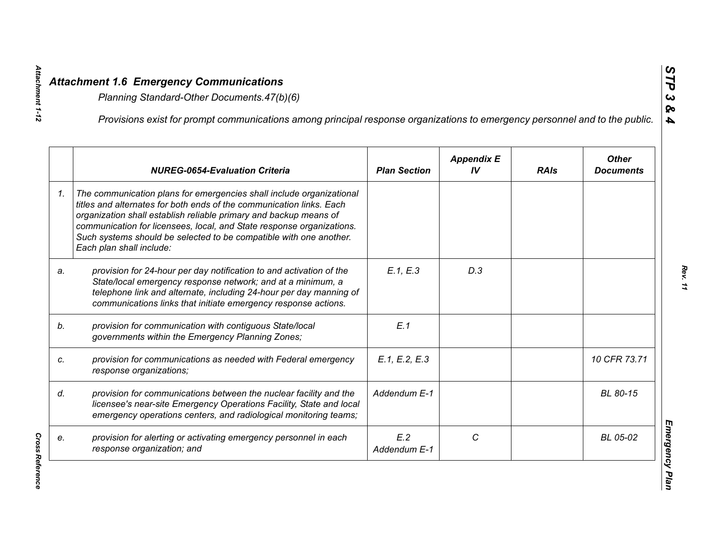|    | Provisions exist for prompt communications among principal response organizations to emergency personnel and to the public.                                                                                                                                                                                                                                                                  |                     |                         |             |                                  |
|----|----------------------------------------------------------------------------------------------------------------------------------------------------------------------------------------------------------------------------------------------------------------------------------------------------------------------------------------------------------------------------------------------|---------------------|-------------------------|-------------|----------------------------------|
|    | <b>NUREG-0654-Evaluation Criteria</b>                                                                                                                                                                                                                                                                                                                                                        | <b>Plan Section</b> | <b>Appendix E</b><br>IV | <b>RAIs</b> | <b>Other</b><br><b>Documents</b> |
| 1. | The communication plans for emergencies shall include organizational<br>titles and alternates for both ends of the communication links. Each<br>organization shall establish reliable primary and backup means of<br>communication for licensees, local, and State response organizations.<br>Such systems should be selected to be compatible with one another.<br>Each plan shall include: |                     |                         |             |                                  |
| a. | provision for 24-hour per day notification to and activation of the<br>State/local emergency response network; and at a minimum, a<br>telephone link and alternate, including 24-hour per day manning of<br>communications links that initiate emergency response actions.                                                                                                                   | E.1, E.3            | D.3                     |             |                                  |
|    | provision for communication with contiguous State/local<br>governments within the Emergency Planning Zones;                                                                                                                                                                                                                                                                                  | E.1                 |                         |             |                                  |
|    | provision for communications as needed with Federal emergency<br>response organizations;                                                                                                                                                                                                                                                                                                     | E.1, E.2, E.3       |                         |             | 10 CFR 73.71                     |
|    | provision for communications between the nuclear facility and the<br>licensee's near-site Emergency Operations Facility, State and local<br>emergency operations centers, and radiological monitoring teams;                                                                                                                                                                                 | Addendum E-1        |                         |             | BL 80-15                         |
|    | provision for alerting or activating emergency personnel in each<br>response organization; and                                                                                                                                                                                                                                                                                               | E.2<br>Addendum E-1 | C                       |             | BL 05-02                         |

*Attachment 1-12*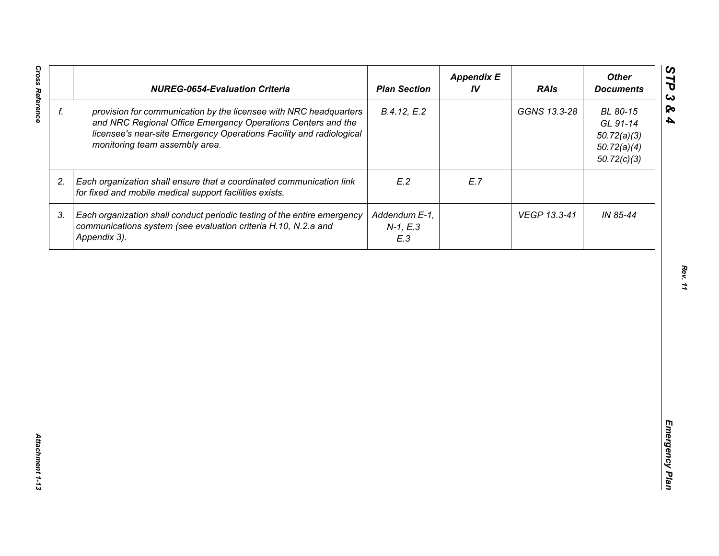| f. |                                                                                                                                                                                                                                            | <b>Plan Section</b>                | IV  | <b>RAIs</b>  | <b>Other</b><br><b>Documents</b>                                  |
|----|--------------------------------------------------------------------------------------------------------------------------------------------------------------------------------------------------------------------------------------------|------------------------------------|-----|--------------|-------------------------------------------------------------------|
|    | provision for communication by the licensee with NRC headquarters<br>and NRC Regional Office Emergency Operations Centers and the<br>licensee's near-site Emergency Operations Facility and radiological<br>monitoring team assembly area. | B.4.12, E.2                        |     | GGNS 13.3-28 | BL 80-15<br>GL 91-14<br>50.72(a)(3)<br>50.72(a)(4)<br>50.72(c)(3) |
| 2. | Each organization shall ensure that a coordinated communication link<br>for fixed and mobile medical support facilities exists.                                                                                                            | E.2                                | E.7 |              |                                                                   |
| 3. | Each organization shall conduct periodic testing of the entire emergency<br>communications system (see evaluation criteria H.10, N.2.a and<br>Appendix 3).                                                                                 | Addendum E-1,<br>$N-1, E.3$<br>E.3 |     | VEGP 13.3-41 | IN 85-44                                                          |
|    |                                                                                                                                                                                                                                            |                                    |     |              |                                                                   |
|    |                                                                                                                                                                                                                                            |                                    |     |              |                                                                   |
|    |                                                                                                                                                                                                                                            |                                    |     |              |                                                                   |
|    |                                                                                                                                                                                                                                            |                                    |     |              |                                                                   |
|    |                                                                                                                                                                                                                                            |                                    |     |              |                                                                   |
|    |                                                                                                                                                                                                                                            |                                    |     |              |                                                                   |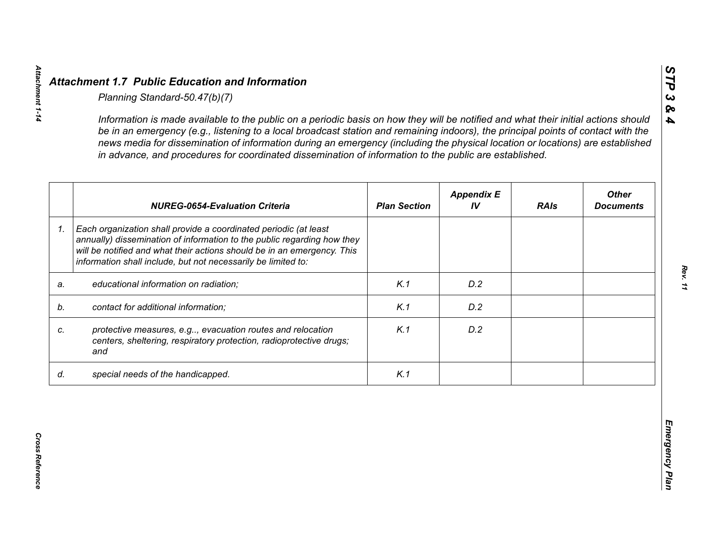|    | <b>NUREG-0654-Evaluation Criteria</b>                                                                                                                                                                                                                                                   | <b>Plan Section</b> | <b>Appendix E</b><br>IV | <b>RAIs</b> | <b>Other</b><br><b>Documents</b> |
|----|-----------------------------------------------------------------------------------------------------------------------------------------------------------------------------------------------------------------------------------------------------------------------------------------|---------------------|-------------------------|-------------|----------------------------------|
| 1. | Each organization shall provide a coordinated periodic (at least<br>annually) dissemination of information to the public regarding how they<br>will be notified and what their actions should be in an emergency. This<br>information shall include, but not necessarily be limited to: |                     |                         |             |                                  |
| a. | educational information on radiation;                                                                                                                                                                                                                                                   | K.1                 | D.2                     |             |                                  |
| b. | contact for additional information;                                                                                                                                                                                                                                                     | K.1                 | D.2                     |             |                                  |
|    | protective measures, e.g, evacuation routes and relocation<br>centers, sheltering, respiratory protection, radioprotective drugs;<br>and                                                                                                                                                | K.1                 | D.2                     |             |                                  |
| d. | special needs of the handicapped.                                                                                                                                                                                                                                                       | K.1                 |                         |             |                                  |

**Cross Reference** 

*STP 3 & 4*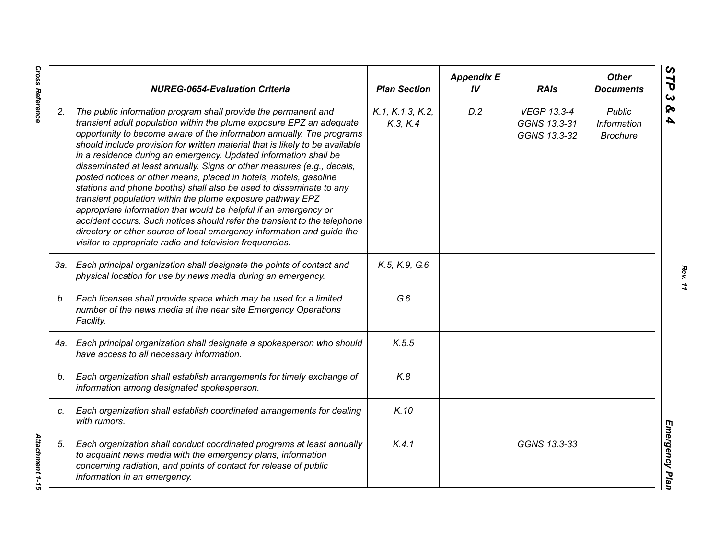|     | <b>NUREG-0654-Evaluation Criteria</b>                                                                                                                                                                                                                                                                                                                                                                                                                                                                                                                                                                                                                                                                                                                                                                                                                                                                                                          | <b>Plan Section</b>          | <b>Appendix E</b><br>IV | <b>RAIs</b>                                        | <b>Other</b><br><b>Documents</b>                |
|-----|------------------------------------------------------------------------------------------------------------------------------------------------------------------------------------------------------------------------------------------------------------------------------------------------------------------------------------------------------------------------------------------------------------------------------------------------------------------------------------------------------------------------------------------------------------------------------------------------------------------------------------------------------------------------------------------------------------------------------------------------------------------------------------------------------------------------------------------------------------------------------------------------------------------------------------------------|------------------------------|-------------------------|----------------------------------------------------|-------------------------------------------------|
| 2.  | The public information program shall provide the permanent and<br>transient adult population within the plume exposure EPZ an adequate<br>opportunity to become aware of the information annually. The programs<br>should include provision for written material that is likely to be available<br>in a residence during an emergency. Updated information shall be<br>disseminated at least annually. Signs or other measures (e.g., decals,<br>posted notices or other means, placed in hotels, motels, gasoline<br>stations and phone booths) shall also be used to disseminate to any<br>transient population within the plume exposure pathway EPZ<br>appropriate information that would be helpful if an emergency or<br>accident occurs. Such notices should refer the transient to the telephone<br>directory or other source of local emergency information and guide the<br>visitor to appropriate radio and television frequencies. | K.1, K.1.3, K.2,<br>K.3, K.4 | D.2                     | <b>VEGP 13.3-4</b><br>GGNS 13.3-31<br>GGNS 13.3-32 | <b>Public</b><br>Information<br><b>Brochure</b> |
| 3а. | Each principal organization shall designate the points of contact and<br>physical location for use by news media during an emergency.                                                                                                                                                                                                                                                                                                                                                                                                                                                                                                                                                                                                                                                                                                                                                                                                          | K.5, K.9, G.6                |                         |                                                    |                                                 |
| b.  | Each licensee shall provide space which may be used for a limited<br>number of the news media at the near site Emergency Operations<br>Facility.                                                                                                                                                                                                                                                                                                                                                                                                                                                                                                                                                                                                                                                                                                                                                                                               | G.6                          |                         |                                                    |                                                 |
| 4a. | Each principal organization shall designate a spokesperson who should<br>have access to all necessary information.                                                                                                                                                                                                                                                                                                                                                                                                                                                                                                                                                                                                                                                                                                                                                                                                                             | K.5.5                        |                         |                                                    |                                                 |
| b.  | Each organization shall establish arrangements for timely exchange of<br>information among designated spokesperson.                                                                                                                                                                                                                                                                                                                                                                                                                                                                                                                                                                                                                                                                                                                                                                                                                            | K.8                          |                         |                                                    |                                                 |
| C.  | Each organization shall establish coordinated arrangements for dealing<br>with rumors.                                                                                                                                                                                                                                                                                                                                                                                                                                                                                                                                                                                                                                                                                                                                                                                                                                                         | K.10                         |                         |                                                    |                                                 |
| 5.  | Each organization shall conduct coordinated programs at least annually<br>to acquaint news media with the emergency plans, information<br>concerning radiation, and points of contact for release of public<br>information in an emergency.                                                                                                                                                                                                                                                                                                                                                                                                                                                                                                                                                                                                                                                                                                    | K.4.1                        |                         | GGNS 13.3-33                                       |                                                 |

*Rev. 11*

# **Cross Reference**

*Cross Reference Attachment 1-15* Attachment 1-15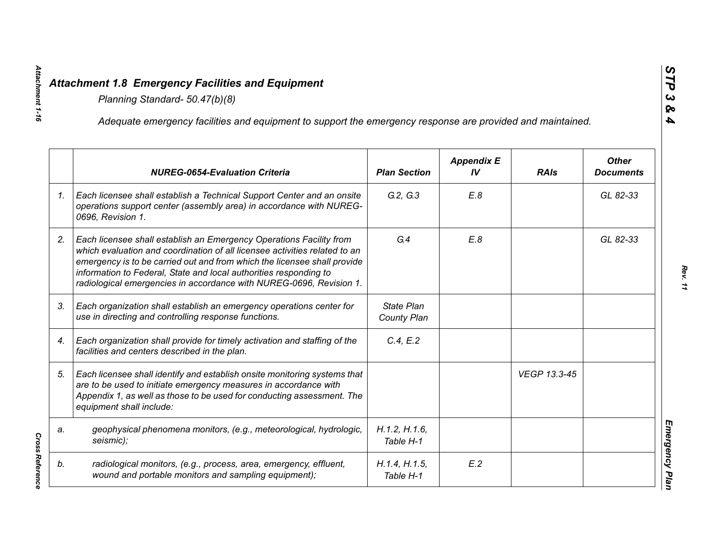|    | Adequate emergency facilities and equipment to support the emergency response are provided and maintained.                                                                                                                                                                                                                                                                |                            |                         |              |                                  |
|----|---------------------------------------------------------------------------------------------------------------------------------------------------------------------------------------------------------------------------------------------------------------------------------------------------------------------------------------------------------------------------|----------------------------|-------------------------|--------------|----------------------------------|
|    | <b>NUREG-0654-Evaluation Criteria</b>                                                                                                                                                                                                                                                                                                                                     | <b>Plan Section</b>        | <b>Appendix E</b><br>IV | <b>RAIs</b>  | <b>Other</b><br><b>Documents</b> |
| 1. | Each licensee shall establish a Technical Support Center and an onsite<br>operations support center (assembly area) in accordance with NUREG-<br>0696, Revision 1.                                                                                                                                                                                                        | G.2, G.3                   | E.8                     |              | GL 82-33                         |
| 2. | Each licensee shall establish an Emergency Operations Facility from<br>which evaluation and coordination of all licensee activities related to an<br>emergency is to be carried out and from which the licensee shall provide<br>information to Federal, State and local authorities responding to<br>radiological emergencies in accordance with NUREG-0696, Revision 1. | G.4                        | E.8                     |              | GL 82-33                         |
| 3. | Each organization shall establish an emergency operations center for<br>use in directing and controlling response functions.                                                                                                                                                                                                                                              | State Plan<br>County Plan  |                         |              |                                  |
| 4. | Each organization shall provide for timely activation and staffing of the<br>facilities and centers described in the plan.                                                                                                                                                                                                                                                | C.4, E.2                   |                         |              |                                  |
| 5. | Each licensee shall identify and establish onsite monitoring systems that<br>are to be used to initiate emergency measures in accordance with<br>Appendix 1, as well as those to be used for conducting assessment. The<br>equipment shall include:                                                                                                                       |                            |                         | VEGP 13.3-45 |                                  |
| a. | geophysical phenomena monitors, (e.g., meteorological, hydrologic,<br>seismic);                                                                                                                                                                                                                                                                                           | H.1.2, H.1.6,<br>Table H-1 |                         |              |                                  |
| b. | radiological monitors, (e.g., process, area, emergency, effluent,<br>wound and portable monitors and sampling equipment);                                                                                                                                                                                                                                                 | H.1.4, H.1.5,<br>Table H-1 | E.2                     |              |                                  |

**Cross Reference** 

*Attachment 1-16*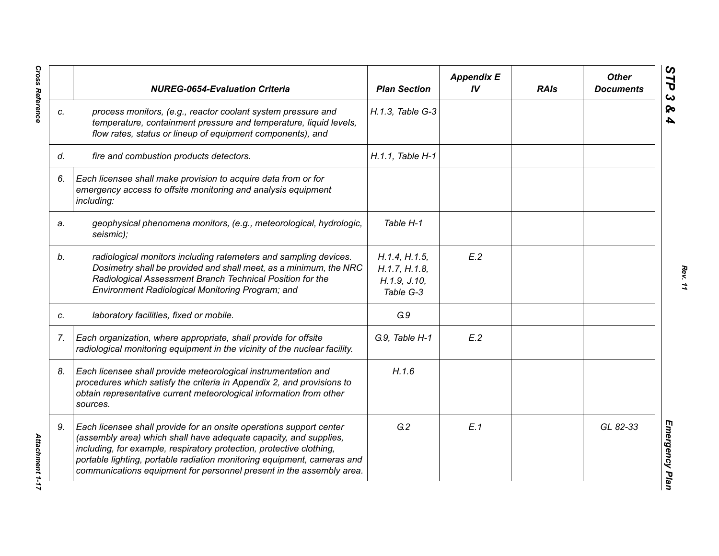|    | <b>NUREG-0654-Evaluation Criteria</b>                                                                                                                                                                                                                                                                                                                               | <b>Plan Section</b>                                         | <b>Appendix E</b><br>IV <sub></sub> | <b>RAIs</b> | <b>Other</b><br><b>Documents</b> |
|----|---------------------------------------------------------------------------------------------------------------------------------------------------------------------------------------------------------------------------------------------------------------------------------------------------------------------------------------------------------------------|-------------------------------------------------------------|-------------------------------------|-------------|----------------------------------|
| C. | process monitors, (e.g., reactor coolant system pressure and<br>temperature, containment pressure and temperature, liquid levels,<br>flow rates, status or lineup of equipment components), and                                                                                                                                                                     | H.1.3, Table G-3                                            |                                     |             |                                  |
| d. | fire and combustion products detectors.                                                                                                                                                                                                                                                                                                                             | H.1.1, Table H-1                                            |                                     |             |                                  |
| 6. | Each licensee shall make provision to acquire data from or for<br>emergency access to offsite monitoring and analysis equipment<br>including:                                                                                                                                                                                                                       |                                                             |                                     |             |                                  |
| a. | geophysical phenomena monitors, (e.g., meteorological, hydrologic,<br>seismic);                                                                                                                                                                                                                                                                                     | Table H-1                                                   |                                     |             |                                  |
| b. | radiological monitors including ratemeters and sampling devices.<br>Dosimetry shall be provided and shall meet, as a minimum, the NRC<br>Radiological Assessment Branch Technical Position for the<br>Environment Radiological Monitoring Program; and                                                                                                              | H.1.4, H.1.5,<br>H.1.7, H.1.8,<br>H.1.9, J.10,<br>Table G-3 | E.2                                 |             |                                  |
| C. | laboratory facilities, fixed or mobile.                                                                                                                                                                                                                                                                                                                             | G.9                                                         |                                     |             |                                  |
| 7. | Each organization, where appropriate, shall provide for offsite<br>radiological monitoring equipment in the vicinity of the nuclear facility.                                                                                                                                                                                                                       | G.9, Table H-1                                              | E.2                                 |             |                                  |
| 8. | Each licensee shall provide meteorological instrumentation and<br>procedures which satisfy the criteria in Appendix 2, and provisions to<br>obtain representative current meteorological information from other<br>sources.                                                                                                                                         | H.1.6                                                       |                                     |             |                                  |
| 9. | Each licensee shall provide for an onsite operations support center<br>(assembly area) which shall have adequate capacity, and supplies,<br>including, for example, respiratory protection, protective clothing,<br>portable lighting, portable radiation monitoring equipment, cameras and<br>communications equipment for personnel present in the assembly area. | G.2                                                         | E.1                                 |             | GL 82-33                         |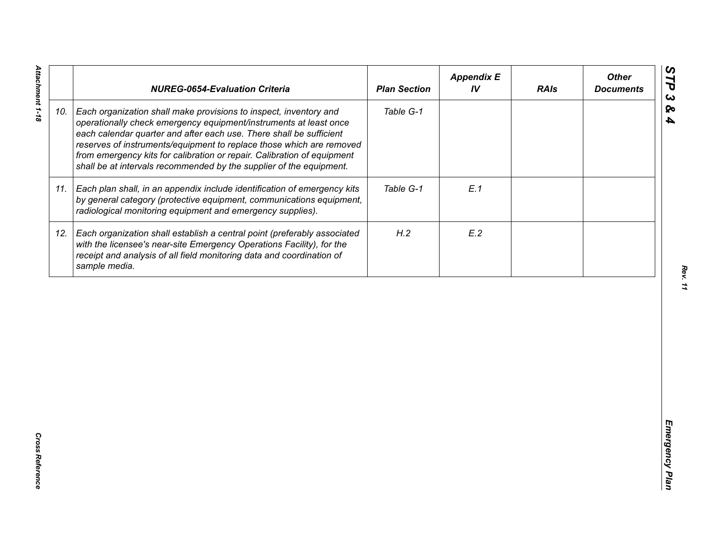|     | <b>NUREG-0654-Evaluation Criteria</b>                                                                                                                                                                                                                                                                                                                                                                                                   | <b>Plan Section</b> | <b>Appendix E</b><br>IV | <b>RAIs</b> | <b>Other</b><br><b>Documents</b> |
|-----|-----------------------------------------------------------------------------------------------------------------------------------------------------------------------------------------------------------------------------------------------------------------------------------------------------------------------------------------------------------------------------------------------------------------------------------------|---------------------|-------------------------|-------------|----------------------------------|
| 10. | Each organization shall make provisions to inspect, inventory and<br>operationally check emergency equipment/instruments at least once<br>each calendar quarter and after each use. There shall be sufficient<br>reserves of instruments/equipment to replace those which are removed<br>from emergency kits for calibration or repair. Calibration of equipment<br>shall be at intervals recommended by the supplier of the equipment. | Table G-1           |                         |             |                                  |
| 11. | Each plan shall, in an appendix include identification of emergency kits<br>by general category (protective equipment, communications equipment,<br>radiological monitoring equipment and emergency supplies).                                                                                                                                                                                                                          | Table G-1           | E.1                     |             |                                  |
| 12. | Each organization shall establish a central point (preferably associated<br>with the licensee's near-site Emergency Operations Facility), for the<br>receipt and analysis of all field monitoring data and coordination of<br>sample media.                                                                                                                                                                                             | H.2                 | E.2                     |             |                                  |
|     |                                                                                                                                                                                                                                                                                                                                                                                                                                         |                     |                         |             |                                  |
|     |                                                                                                                                                                                                                                                                                                                                                                                                                                         |                     |                         |             |                                  |
|     |                                                                                                                                                                                                                                                                                                                                                                                                                                         |                     |                         |             |                                  |
|     |                                                                                                                                                                                                                                                                                                                                                                                                                                         |                     |                         |             |                                  |
|     |                                                                                                                                                                                                                                                                                                                                                                                                                                         |                     |                         |             |                                  |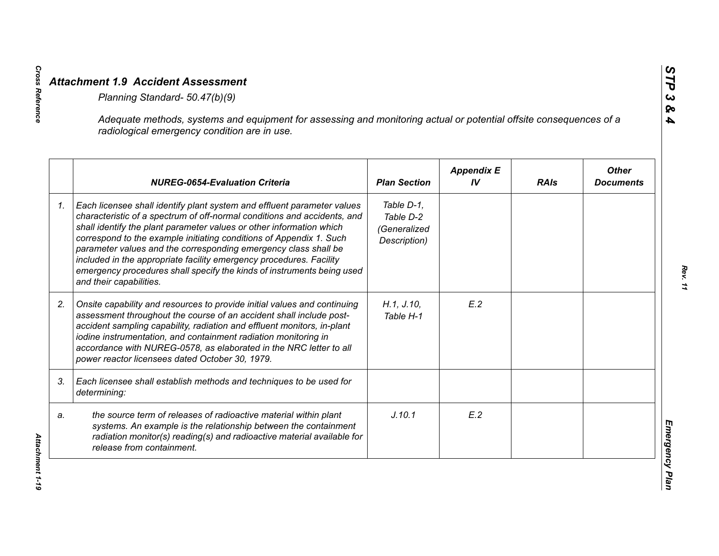|    | Adequate methods, systems and equipment for assessing and monitoring actual or potential offsite consequences of a<br>radiological emergency condition are in use.                                                                                                                                                                                                                                                                                                                                                                                |                                                         |                         |             |                                  |
|----|---------------------------------------------------------------------------------------------------------------------------------------------------------------------------------------------------------------------------------------------------------------------------------------------------------------------------------------------------------------------------------------------------------------------------------------------------------------------------------------------------------------------------------------------------|---------------------------------------------------------|-------------------------|-------------|----------------------------------|
|    | <b>NUREG-0654-Evaluation Criteria</b>                                                                                                                                                                                                                                                                                                                                                                                                                                                                                                             | <b>Plan Section</b>                                     | <b>Appendix E</b><br>IV | <b>RAIs</b> | <b>Other</b><br><b>Documents</b> |
| 1. | Each licensee shall identify plant system and effluent parameter values<br>characteristic of a spectrum of off-normal conditions and accidents, and<br>shall identify the plant parameter values or other information which<br>correspond to the example initiating conditions of Appendix 1. Such<br>parameter values and the corresponding emergency class shall be<br>included in the appropriate facility emergency procedures. Facility<br>emergency procedures shall specify the kinds of instruments being used<br>and their capabilities. | Table D-1,<br>Table D-2<br>(Generalized<br>Description) |                         |             |                                  |
| 2. | Onsite capability and resources to provide initial values and continuing<br>assessment throughout the course of an accident shall include post-<br>accident sampling capability, radiation and effluent monitors, in-plant<br>iodine instrumentation, and containment radiation monitoring in<br>accordance with NUREG-0578, as elaborated in the NRC letter to all<br>power reactor licensees dated October 30, 1979.                                                                                                                            | H.1, J.10,<br>Table H-1                                 | E.2                     |             |                                  |
| 3. | Each licensee shall establish methods and techniques to be used for<br>determining:                                                                                                                                                                                                                                                                                                                                                                                                                                                               |                                                         |                         |             |                                  |
| a. | the source term of releases of radioactive material within plant<br>systems. An example is the relationship between the containment<br>radiation monitor(s) reading(s) and radioactive material available for<br>release from containment.                                                                                                                                                                                                                                                                                                        | J.10.1                                                  | E.2                     |             |                                  |

*Cross Reference Attachment 1-19* Attachment 1-19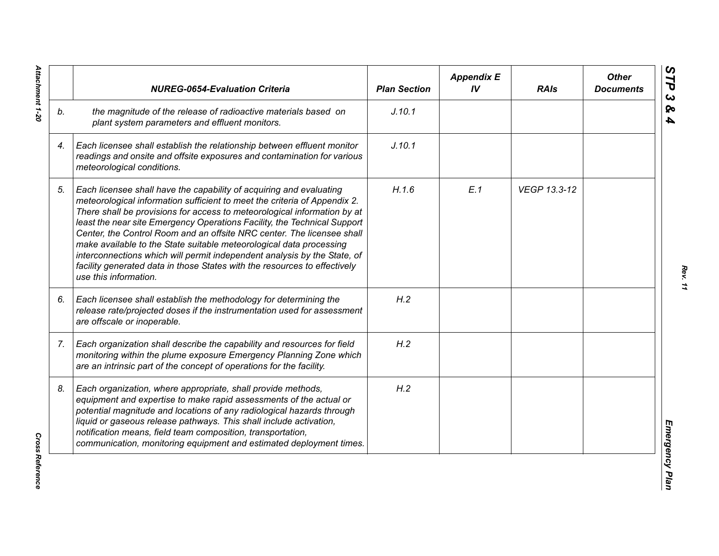|    | <b>NUREG-0654-Evaluation Criteria</b>                                                                                                                                                                                                                                                                                                                                                                                                                                                                                                                                                                                                       | <b>Plan Section</b> | <b>Appendix E</b><br>IV | <b>RAIs</b>  | <b>Other</b><br><b>Documents</b> |
|----|---------------------------------------------------------------------------------------------------------------------------------------------------------------------------------------------------------------------------------------------------------------------------------------------------------------------------------------------------------------------------------------------------------------------------------------------------------------------------------------------------------------------------------------------------------------------------------------------------------------------------------------------|---------------------|-------------------------|--------------|----------------------------------|
| b. | the magnitude of the release of radioactive materials based on<br>plant system parameters and effluent monitors.                                                                                                                                                                                                                                                                                                                                                                                                                                                                                                                            | J.10.1              |                         |              |                                  |
| 4. | Each licensee shall establish the relationship between effluent monitor<br>readings and onsite and offsite exposures and contamination for various<br>meteorological conditions.                                                                                                                                                                                                                                                                                                                                                                                                                                                            | J.10.1              |                         |              |                                  |
| 5. | Each licensee shall have the capability of acquiring and evaluating<br>meteorological information sufficient to meet the criteria of Appendix 2.<br>There shall be provisions for access to meteorological information by at<br>least the near site Emergency Operations Facility, the Technical Support<br>Center, the Control Room and an offsite NRC center. The licensee shall<br>make available to the State suitable meteorological data processing<br>interconnections which will permit independent analysis by the State, of<br>facility generated data in those States with the resources to effectively<br>use this information. | H.1.6               | E.1                     | VEGP 13.3-12 |                                  |
| 6. | Each licensee shall establish the methodology for determining the<br>release rate/projected doses if the instrumentation used for assessment<br>are offscale or inoperable.                                                                                                                                                                                                                                                                                                                                                                                                                                                                 | H.2                 |                         |              |                                  |
| 7. | Each organization shall describe the capability and resources for field<br>monitoring within the plume exposure Emergency Planning Zone which<br>are an intrinsic part of the concept of operations for the facility.                                                                                                                                                                                                                                                                                                                                                                                                                       | H.2                 |                         |              |                                  |
| 8. | Each organization, where appropriate, shall provide methods,<br>equipment and expertise to make rapid assessments of the actual or<br>potential magnitude and locations of any radiological hazards through<br>liquid or gaseous release pathways. This shall include activation,<br>notification means, field team composition, transportation,<br>communication, monitoring equipment and estimated deployment times.                                                                                                                                                                                                                     | H.2                 |                         |              |                                  |

Attachment 1-20 *Attachment 1-20*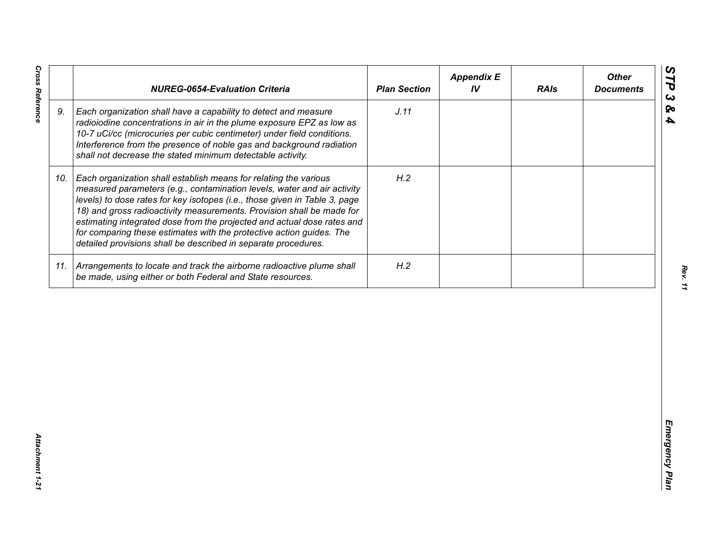| J.11<br>9.<br>Each organization shall have a capability to detect and measure<br>radioiodine concentrations in air in the plume exposure EPZ as low as<br>10-7 uCi/cc (microcuries per cubic centimeter) under field conditions.<br>Interference from the presence of noble gas and background radiation<br>shall not decrease the stated minimum detectable activity.<br>H.2<br>Each organization shall establish means for relating the various<br>10.<br>measured parameters (e.g., contamination levels, water and air activity<br>levels) to dose rates for key isotopes (i.e., those given in Table 3, page<br>18) and gross radioactivity measurements. Provision shall be made for<br>estimating integrated dose from the projected and actual dose rates and<br>for comparing these estimates with the protective action guides. The<br>detailed provisions shall be described in separate procedures. | H.2<br>11. Arrangements to locate and track the airborne radioactive plume shall<br>be made, using either or both Federal and State resources. | <b>NUREG-0654-Evaluation Criteria</b> | <b>Plan Section</b> | <b>Appendix E</b><br>IV | <b>RAIs</b> | <b>Other</b><br><b>Documents</b> |
|-----------------------------------------------------------------------------------------------------------------------------------------------------------------------------------------------------------------------------------------------------------------------------------------------------------------------------------------------------------------------------------------------------------------------------------------------------------------------------------------------------------------------------------------------------------------------------------------------------------------------------------------------------------------------------------------------------------------------------------------------------------------------------------------------------------------------------------------------------------------------------------------------------------------|------------------------------------------------------------------------------------------------------------------------------------------------|---------------------------------------|---------------------|-------------------------|-------------|----------------------------------|
|                                                                                                                                                                                                                                                                                                                                                                                                                                                                                                                                                                                                                                                                                                                                                                                                                                                                                                                 |                                                                                                                                                |                                       |                     |                         |             |                                  |
|                                                                                                                                                                                                                                                                                                                                                                                                                                                                                                                                                                                                                                                                                                                                                                                                                                                                                                                 |                                                                                                                                                |                                       |                     |                         |             |                                  |
|                                                                                                                                                                                                                                                                                                                                                                                                                                                                                                                                                                                                                                                                                                                                                                                                                                                                                                                 |                                                                                                                                                |                                       |                     |                         |             |                                  |
|                                                                                                                                                                                                                                                                                                                                                                                                                                                                                                                                                                                                                                                                                                                                                                                                                                                                                                                 |                                                                                                                                                |                                       |                     |                         |             |                                  |

*Cross Reference Attachment 1-21* Attachment 1-21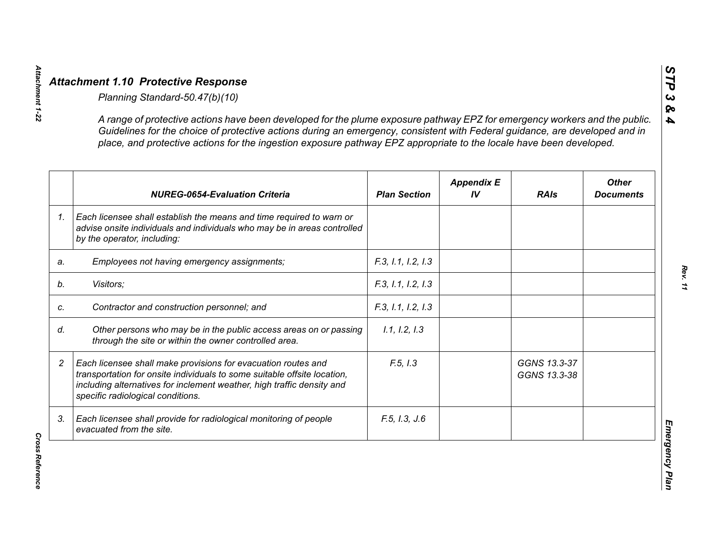|                | A range of protective actions have been developed for the plume exposure pathway EPZ for emergency workers and the public.<br>Guidelines for the choice of protective actions during an emergency, consistent with Federal guidance, are developed and in<br>place, and protective actions for the ingestion exposure pathway EPZ appropriate to the locale have been developed. |                     |                         |                              |                                  |
|----------------|----------------------------------------------------------------------------------------------------------------------------------------------------------------------------------------------------------------------------------------------------------------------------------------------------------------------------------------------------------------------------------|---------------------|-------------------------|------------------------------|----------------------------------|
|                | <b>NUREG-0654-Evaluation Criteria</b>                                                                                                                                                                                                                                                                                                                                            | <b>Plan Section</b> | <b>Appendix E</b><br>IV | <b>RAIs</b>                  | <b>Other</b><br><b>Documents</b> |
| 1 <sub>1</sub> | Each licensee shall establish the means and time required to warn or<br>advise onsite individuals and individuals who may be in areas controlled<br>by the operator, including:                                                                                                                                                                                                  |                     |                         |                              |                                  |
| a.             | Employees not having emergency assignments;                                                                                                                                                                                                                                                                                                                                      | F.3, 1.1, 1.2, 1.3  |                         |                              |                                  |
|                | Visitors;                                                                                                                                                                                                                                                                                                                                                                        | F.3, 1.1, 1.2, 1.3  |                         |                              |                                  |
|                | Contractor and construction personnel; and                                                                                                                                                                                                                                                                                                                                       | F.3, 1.1, 1.2, 1.3  |                         |                              |                                  |
|                | Other persons who may be in the public access areas on or passing<br>through the site or within the owner controlled area.                                                                                                                                                                                                                                                       | 1.1, 1.2, 1.3       |                         |                              |                                  |
|                | Each licensee shall make provisions for evacuation routes and<br>transportation for onsite individuals to some suitable offsite location,<br>including alternatives for inclement weather, high traffic density and<br>specific radiological conditions.                                                                                                                         | F.5, I.3            |                         | GGNS 13.3-37<br>GGNS 13.3-38 |                                  |
| 3.             | Each licensee shall provide for radiological monitoring of people<br>evacuated from the site.                                                                                                                                                                                                                                                                                    | F.5, I.3, J.6       |                         |                              |                                  |

*STP 3 & 4*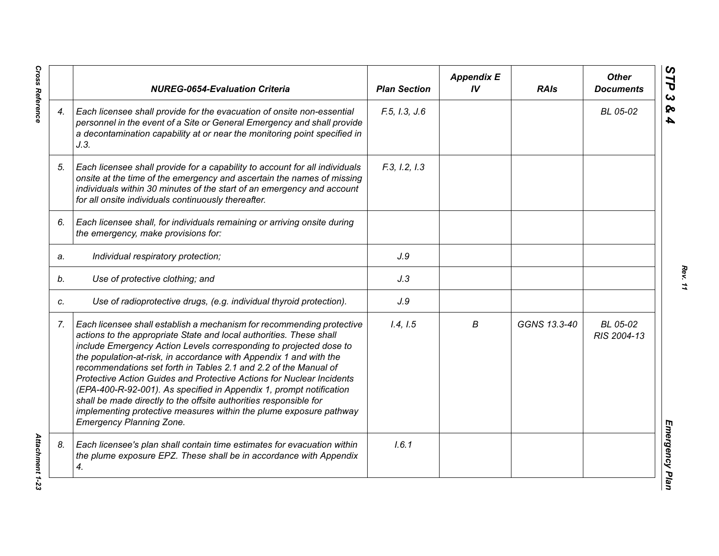|    | <b>NUREG-0654-Evaluation Criteria</b>                                                                                                                                                                                                                                                                                                                                                                                                                                                                                                                                                                                                                                                      | <b>Plan Section</b> | <b>Appendix E</b><br>IV | <b>RAIs</b>  | <b>Other</b><br><b>Documents</b> |
|----|--------------------------------------------------------------------------------------------------------------------------------------------------------------------------------------------------------------------------------------------------------------------------------------------------------------------------------------------------------------------------------------------------------------------------------------------------------------------------------------------------------------------------------------------------------------------------------------------------------------------------------------------------------------------------------------------|---------------------|-------------------------|--------------|----------------------------------|
| 4. | Each licensee shall provide for the evacuation of onsite non-essential<br>personnel in the event of a Site or General Emergency and shall provide<br>a decontamination capability at or near the monitoring point specified in<br>J.3.                                                                                                                                                                                                                                                                                                                                                                                                                                                     | F.5, I.3, J.6       |                         |              | BL 05-02                         |
| 5. | Each licensee shall provide for a capability to account for all individuals<br>onsite at the time of the emergency and ascertain the names of missing<br>individuals within 30 minutes of the start of an emergency and account<br>for all onsite individuals continuously thereafter.                                                                                                                                                                                                                                                                                                                                                                                                     | F.3, I.2, I.3       |                         |              |                                  |
| 6. | Each licensee shall, for individuals remaining or arriving onsite during<br>the emergency, make provisions for:                                                                                                                                                                                                                                                                                                                                                                                                                                                                                                                                                                            |                     |                         |              |                                  |
| a. | Individual respiratory protection;                                                                                                                                                                                                                                                                                                                                                                                                                                                                                                                                                                                                                                                         | J.9                 |                         |              |                                  |
| b. | Use of protective clothing; and                                                                                                                                                                                                                                                                                                                                                                                                                                                                                                                                                                                                                                                            | J.3                 |                         |              |                                  |
| C. | Use of radioprotective drugs, (e.g. individual thyroid protection).                                                                                                                                                                                                                                                                                                                                                                                                                                                                                                                                                                                                                        | J.9                 |                         |              |                                  |
| 7. | Each licensee shall establish a mechanism for recommending protective<br>actions to the appropriate State and local authorities. These shall<br>include Emergency Action Levels corresponding to projected dose to<br>the population-at-risk, in accordance with Appendix 1 and with the<br>recommendations set forth in Tables 2.1 and 2.2 of the Manual of<br>Protective Action Guides and Protective Actions for Nuclear Incidents<br>(EPA-400-R-92-001). As specified in Appendix 1, prompt notification<br>shall be made directly to the offsite authorities responsible for<br>implementing protective measures within the plume exposure pathway<br><b>Emergency Planning Zone.</b> | 1.4, 1.5            | В                       | GGNS 13.3-40 | BL 05-02<br>RIS 2004-13          |
| 8. | Each licensee's plan shall contain time estimates for evacuation within<br>the plume exposure EPZ. These shall be in accordance with Appendix<br>4.                                                                                                                                                                                                                                                                                                                                                                                                                                                                                                                                        | 1.6.1               |                         |              |                                  |

**Cross Reference** *Cross Reference Attachment 1-23*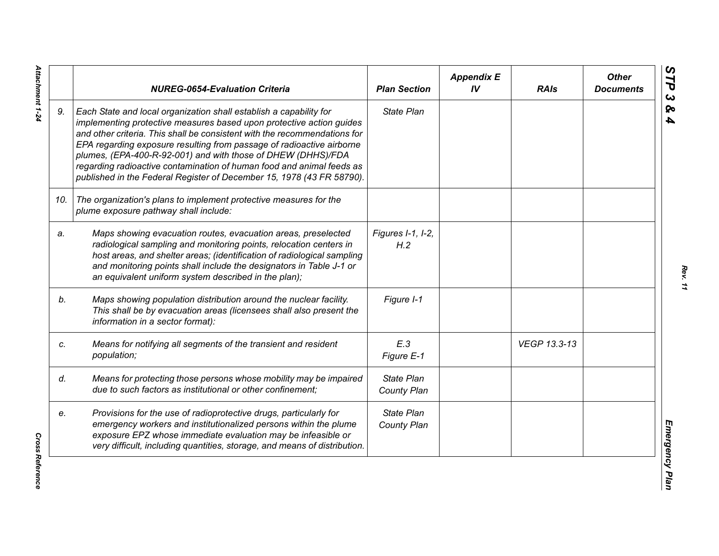|     | <b>NUREG-0654-Evaluation Criteria</b>                                                                                                                                                                                                                                                                                                                                                                                                                                                                              | <b>Plan Section</b>              | <b>Appendix E</b><br>IV | <b>RAIs</b>  | <b>Other</b><br><b>Documents</b> |
|-----|--------------------------------------------------------------------------------------------------------------------------------------------------------------------------------------------------------------------------------------------------------------------------------------------------------------------------------------------------------------------------------------------------------------------------------------------------------------------------------------------------------------------|----------------------------------|-------------------------|--------------|----------------------------------|
| 9.  | Each State and local organization shall establish a capability for<br>implementing protective measures based upon protective action guides<br>and other criteria. This shall be consistent with the recommendations for<br>EPA regarding exposure resulting from passage of radioactive airborne<br>plumes, (EPA-400-R-92-001) and with those of DHEW (DHHS)/FDA<br>regarding radioactive contamination of human food and animal feeds as<br>published in the Federal Register of December 15, 1978 (43 FR 58790). | <b>State Plan</b>                |                         |              |                                  |
| 10. | The organization's plans to implement protective measures for the<br>plume exposure pathway shall include:                                                                                                                                                                                                                                                                                                                                                                                                         |                                  |                         |              |                                  |
| a.  | Maps showing evacuation routes, evacuation areas, preselected<br>radiological sampling and monitoring points, relocation centers in<br>host areas, and shelter areas; (identification of radiological sampling<br>and monitoring points shall include the designators in Table J-1 or<br>an equivalent uniform system described in the plan);                                                                                                                                                                      | Figures I-1, I-2,<br>H.2         |                         |              |                                  |
| b.  | Maps showing population distribution around the nuclear facility.<br>This shall be by evacuation areas (licensees shall also present the<br>information in a sector format):                                                                                                                                                                                                                                                                                                                                       | Figure I-1                       |                         |              |                                  |
| c.  | Means for notifying all segments of the transient and resident<br>population;                                                                                                                                                                                                                                                                                                                                                                                                                                      | E.3<br>Figure E-1                |                         | VEGP 13.3-13 |                                  |
| d.  | Means for protecting those persons whose mobility may be impaired<br>due to such factors as institutional or other confinement;                                                                                                                                                                                                                                                                                                                                                                                    | <b>State Plan</b><br>County Plan |                         |              |                                  |
| e.  | Provisions for the use of radioprotective drugs, particularly for<br>emergency workers and institutionalized persons within the plume<br>exposure EPZ whose immediate evaluation may be infeasible or<br>very difficult, including quantities, storage, and means of distribution.                                                                                                                                                                                                                                 | <b>State Plan</b><br>County Plan |                         |              |                                  |

Attachment 1-24 *Attachment 1-24*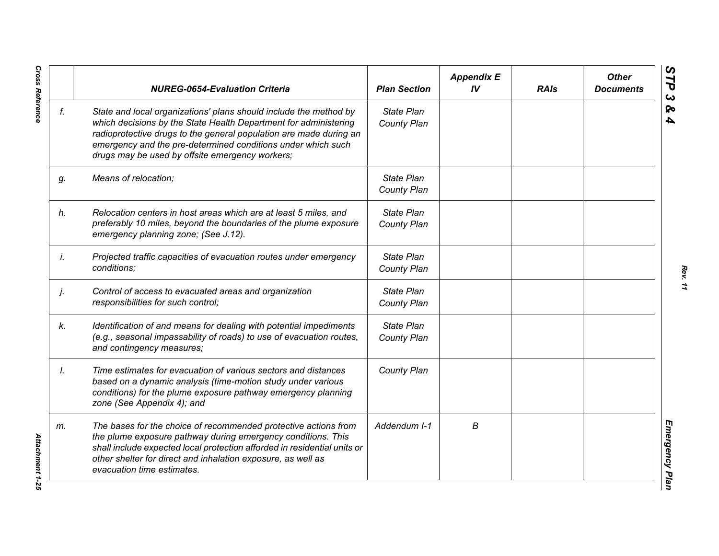|    | <b>NUREG-0654-Evaluation Criteria</b>                                                                                                                                                                                                                                                                                          | <b>Plan Section</b>              | <b>Appendix E</b><br>IV | <b>RAIs</b> | <b>Other</b><br><b>Documents</b> |
|----|--------------------------------------------------------------------------------------------------------------------------------------------------------------------------------------------------------------------------------------------------------------------------------------------------------------------------------|----------------------------------|-------------------------|-------------|----------------------------------|
| f. | State and local organizations' plans should include the method by<br>which decisions by the State Health Department for administering<br>radioprotective drugs to the general population are made during an<br>emergency and the pre-determined conditions under which such<br>drugs may be used by offsite emergency workers; | <b>State Plan</b><br>County Plan |                         |             |                                  |
| g. | Means of relocation;                                                                                                                                                                                                                                                                                                           | State Plan<br>County Plan        |                         |             |                                  |
| h. | Relocation centers in host areas which are at least 5 miles, and<br>preferably 10 miles, beyond the boundaries of the plume exposure<br>emergency planning zone; (See J.12).                                                                                                                                                   | State Plan<br>County Plan        |                         |             |                                  |
| İ. | Projected traffic capacities of evacuation routes under emergency<br>conditions;                                                                                                                                                                                                                                               | State Plan<br>County Plan        |                         |             |                                  |
| j. | Control of access to evacuated areas and organization<br>responsibilities for such control;                                                                                                                                                                                                                                    | State Plan<br>County Plan        |                         |             |                                  |
| k. | Identification of and means for dealing with potential impediments<br>(e.g., seasonal impassability of roads) to use of evacuation routes,<br>and contingency measures;                                                                                                                                                        | State Plan<br>County Plan        |                         |             |                                  |
| Ι. | Time estimates for evacuation of various sectors and distances<br>based on a dynamic analysis (time-motion study under various<br>conditions) for the plume exposure pathway emergency planning<br>zone (See Appendix 4); and                                                                                                  | County Plan                      |                         |             |                                  |
| m. | The bases for the choice of recommended protective actions from<br>the plume exposure pathway during emergency conditions. This<br>shall include expected local protection afforded in residential units or<br>other shelter for direct and inhalation exposure, as well as<br>evacuation time estimates.                      | Addendum I-1                     | В                       |             |                                  |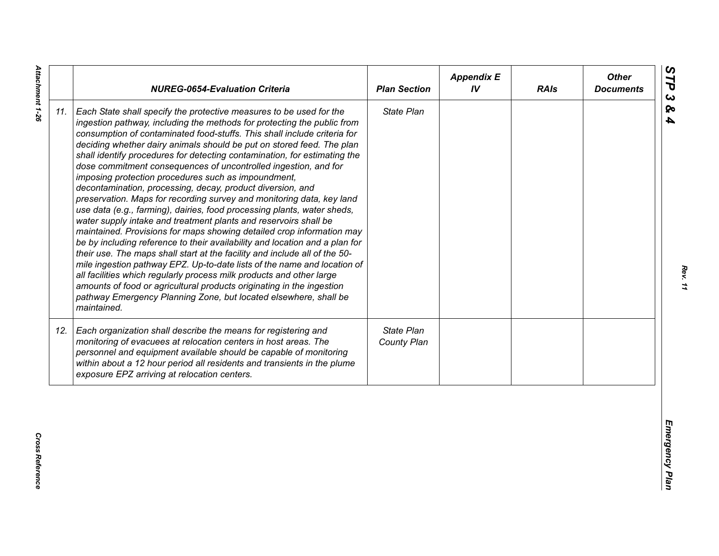| State Plan<br>Each State shall specify the protective measures to be used for the<br>ingestion pathway, including the methods for protecting the public from<br>consumption of contaminated food-stuffs. This shall include criteria for<br>deciding whether dairy animals should be put on stored feed. The plan<br>shall identify procedures for detecting contamination, for estimating the<br>dose commitment consequences of uncontrolled ingestion, and for<br>imposing protection procedures such as impoundment,<br>decontamination, processing, decay, product diversion, and<br>preservation. Maps for recording survey and monitoring data, key land<br>use data (e.g., farming), dairies, food processing plants, water sheds,<br>water supply intake and treatment plants and reservoirs shall be<br>maintained. Provisions for maps showing detailed crop information may<br>be by including reference to their availability and location and a plan for<br>their use. The maps shall start at the facility and include all of the 50-<br>mile ingestion pathway EPZ. Up-to-date lists of the name and location of<br>all facilities which regularly process milk products and other large<br>amounts of food or agricultural products originating in the ingestion<br>pathway Emergency Planning Zone, but located elsewhere, shall be<br>maintained.<br>State Plan<br>Each organization shall describe the means for registering and<br>monitoring of evacuees at relocation centers in host areas. The<br>County Plan<br>personnel and equipment available should be capable of monitoring<br>within about a 12 hour period all residents and transients in the plume<br>exposure EPZ arriving at relocation centers. |     | <b>NUREG-0654-Evaluation Criteria</b> | <b>Plan Section</b> | <b>Appendix E</b><br>IV | <b>RAIs</b> | <b>Other</b><br><b>Documents</b> |
|----------------------------------------------------------------------------------------------------------------------------------------------------------------------------------------------------------------------------------------------------------------------------------------------------------------------------------------------------------------------------------------------------------------------------------------------------------------------------------------------------------------------------------------------------------------------------------------------------------------------------------------------------------------------------------------------------------------------------------------------------------------------------------------------------------------------------------------------------------------------------------------------------------------------------------------------------------------------------------------------------------------------------------------------------------------------------------------------------------------------------------------------------------------------------------------------------------------------------------------------------------------------------------------------------------------------------------------------------------------------------------------------------------------------------------------------------------------------------------------------------------------------------------------------------------------------------------------------------------------------------------------------------------------------------------------------------------------------------------------|-----|---------------------------------------|---------------------|-------------------------|-------------|----------------------------------|
|                                                                                                                                                                                                                                                                                                                                                                                                                                                                                                                                                                                                                                                                                                                                                                                                                                                                                                                                                                                                                                                                                                                                                                                                                                                                                                                                                                                                                                                                                                                                                                                                                                                                                                                                        | 11. |                                       |                     |                         |             |                                  |
|                                                                                                                                                                                                                                                                                                                                                                                                                                                                                                                                                                                                                                                                                                                                                                                                                                                                                                                                                                                                                                                                                                                                                                                                                                                                                                                                                                                                                                                                                                                                                                                                                                                                                                                                        | 12. |                                       |                     |                         |             |                                  |

*Rev. 11*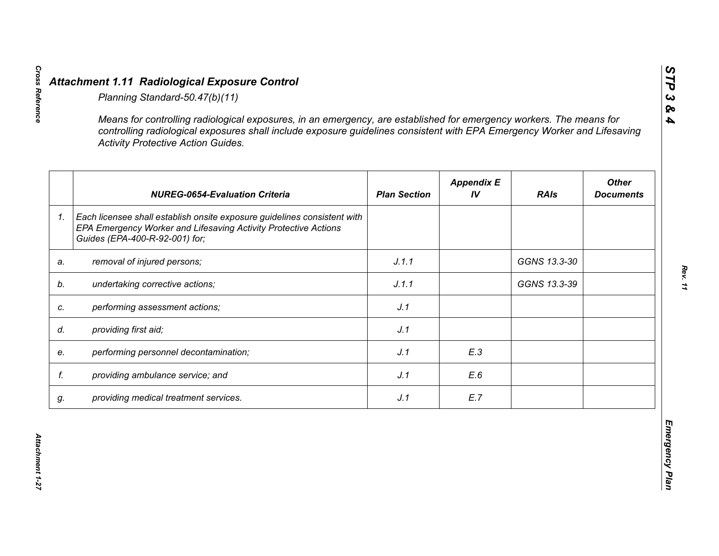|    | <b>Activity Protective Action Guides.</b>                                                                                                                                     |                     |                         |              |                                  |
|----|-------------------------------------------------------------------------------------------------------------------------------------------------------------------------------|---------------------|-------------------------|--------------|----------------------------------|
|    | <b>NUREG-0654-Evaluation Criteria</b>                                                                                                                                         | <b>Plan Section</b> | <b>Appendix E</b><br>IV | <b>RAIs</b>  | <b>Other</b><br><b>Documents</b> |
| 1. | Each licensee shall establish onsite exposure guidelines consistent with<br>EPA Emergency Worker and Lifesaving Activity Protective Actions<br>Guides (EPA-400-R-92-001) for; |                     |                         |              |                                  |
| a. | removal of injured persons;                                                                                                                                                   | J.1.1               |                         | GGNS 13.3-30 |                                  |
|    | undertaking corrective actions;                                                                                                                                               | J.1.1               |                         | GGNS 13.3-39 |                                  |
| C. | performing assessment actions;                                                                                                                                                | J.1                 |                         |              |                                  |
| d. | providing first aid;                                                                                                                                                          | J.1                 |                         |              |                                  |
| e. | performing personnel decontamination;                                                                                                                                         | J.1                 | E.3                     |              |                                  |
| f. | providing ambulance service; and                                                                                                                                              | J.1                 | E.6                     |              |                                  |
| g. | providing medical treatment services.                                                                                                                                         | J.1                 | E.7                     |              |                                  |

*STP 3 & 4*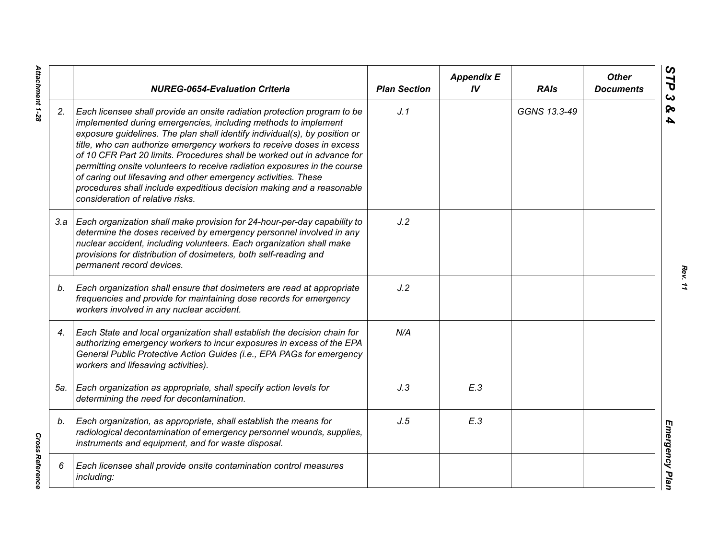|     | <b>NUREG-0654-Evaluation Criteria</b>                                                                                                                                                                                                                                                                                                                                                                                                                                                                                                                                                                                                    | <b>Plan Section</b> | <b>Appendix E</b><br>IV | <b>RAIs</b>  | <b>Other</b><br><b>Documents</b> |
|-----|------------------------------------------------------------------------------------------------------------------------------------------------------------------------------------------------------------------------------------------------------------------------------------------------------------------------------------------------------------------------------------------------------------------------------------------------------------------------------------------------------------------------------------------------------------------------------------------------------------------------------------------|---------------------|-------------------------|--------------|----------------------------------|
| 2.  | Each licensee shall provide an onsite radiation protection program to be<br>implemented during emergencies, including methods to implement<br>exposure guidelines. The plan shall identify individual(s), by position or<br>title, who can authorize emergency workers to receive doses in excess<br>of 10 CFR Part 20 limits. Procedures shall be worked out in advance for<br>permitting onsite volunteers to receive radiation exposures in the course<br>of caring out lifesaving and other emergency activities. These<br>procedures shall include expeditious decision making and a reasonable<br>consideration of relative risks. | J.1                 |                         | GGNS 13.3-49 |                                  |
|     | 3.a   Each organization shall make provision for 24-hour-per-day capability to<br>determine the doses received by emergency personnel involved in any<br>nuclear accident, including volunteers. Each organization shall make<br>provisions for distribution of dosimeters, both self-reading and<br>permanent record devices.                                                                                                                                                                                                                                                                                                           | J.2                 |                         |              |                                  |
| b.  | Each organization shall ensure that dosimeters are read at appropriate<br>frequencies and provide for maintaining dose records for emergency<br>workers involved in any nuclear accident.                                                                                                                                                                                                                                                                                                                                                                                                                                                | J.2                 |                         |              |                                  |
| 4.  | Each State and local organization shall establish the decision chain for<br>authorizing emergency workers to incur exposures in excess of the EPA<br>General Public Protective Action Guides (i.e., EPA PAGs for emergency<br>workers and lifesaving activities).                                                                                                                                                                                                                                                                                                                                                                        | N/A                 |                         |              |                                  |
| 5а. | Each organization as appropriate, shall specify action levels for<br>determining the need for decontamination.                                                                                                                                                                                                                                                                                                                                                                                                                                                                                                                           | J.3                 | E.3                     |              |                                  |
| b.  | Each organization, as appropriate, shall establish the means for<br>radiological decontamination of emergency personnel wounds, supplies,<br>instruments and equipment, and for waste disposal.                                                                                                                                                                                                                                                                                                                                                                                                                                          | J.5                 | E.3                     |              |                                  |
| 6   | Each licensee shall provide onsite contamination control measures<br>including:                                                                                                                                                                                                                                                                                                                                                                                                                                                                                                                                                          |                     |                         |              |                                  |

*Rev. 11*

Attachment 1-28 *Attachment 1-28*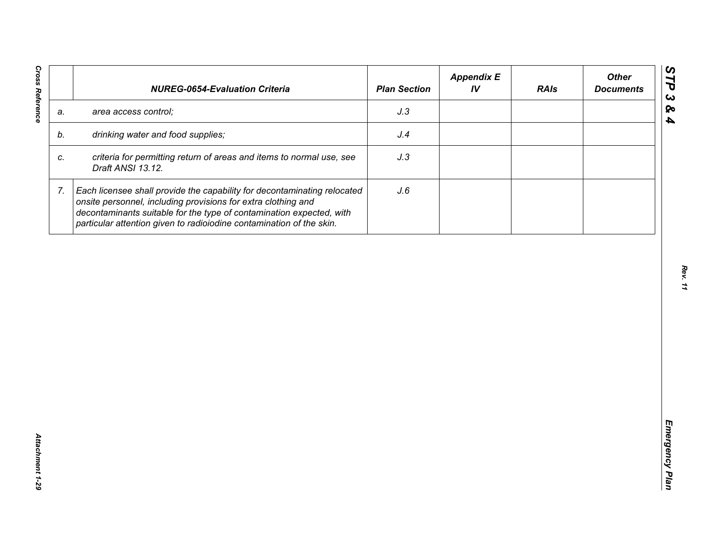| J.3<br>area access control;<br>a.<br>drinking water and food supplies;<br>J.4<br>b.<br>criteria for permitting return of areas and items to normal use, see<br>J.3<br>C.<br>Draft ANSI 13.12.<br>7.<br>Each licensee shall provide the capability for decontaminating relocated<br>J.6<br>onsite personnel, including provisions for extra clothing and |  | decontaminants suitable for the type of contamination expected, with |  |  |
|---------------------------------------------------------------------------------------------------------------------------------------------------------------------------------------------------------------------------------------------------------------------------------------------------------------------------------------------------------|--|----------------------------------------------------------------------|--|--|
|                                                                                                                                                                                                                                                                                                                                                         |  |                                                                      |  |  |
|                                                                                                                                                                                                                                                                                                                                                         |  |                                                                      |  |  |
|                                                                                                                                                                                                                                                                                                                                                         |  |                                                                      |  |  |
| particular attention given to radioiodine contamination of the skin.                                                                                                                                                                                                                                                                                    |  |                                                                      |  |  |
|                                                                                                                                                                                                                                                                                                                                                         |  |                                                                      |  |  |
|                                                                                                                                                                                                                                                                                                                                                         |  |                                                                      |  |  |
|                                                                                                                                                                                                                                                                                                                                                         |  |                                                                      |  |  |
|                                                                                                                                                                                                                                                                                                                                                         |  |                                                                      |  |  |
|                                                                                                                                                                                                                                                                                                                                                         |  |                                                                      |  |  |
|                                                                                                                                                                                                                                                                                                                                                         |  |                                                                      |  |  |
|                                                                                                                                                                                                                                                                                                                                                         |  |                                                                      |  |  |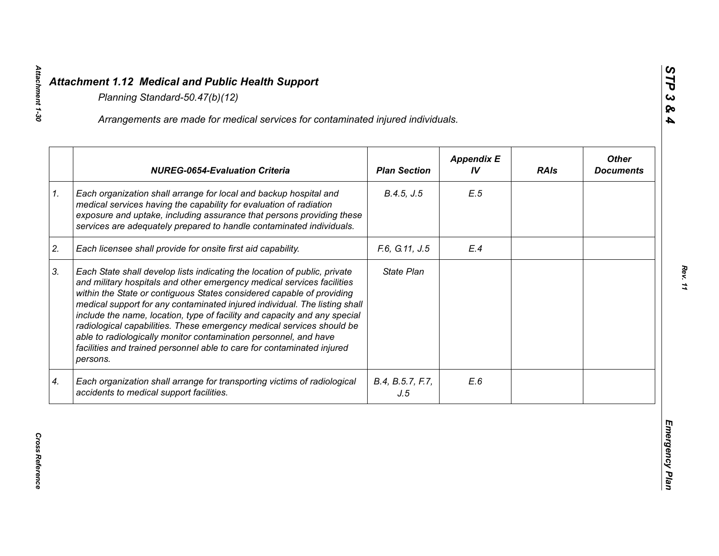|    | Arrangements are made for medical services for contaminated injured individuals.                                                                                                                                                                                                                                                                                                                                                                                                                                                                                                                                           |                         |                         |             |                                  |
|----|----------------------------------------------------------------------------------------------------------------------------------------------------------------------------------------------------------------------------------------------------------------------------------------------------------------------------------------------------------------------------------------------------------------------------------------------------------------------------------------------------------------------------------------------------------------------------------------------------------------------------|-------------------------|-------------------------|-------------|----------------------------------|
|    | <b>NUREG-0654-Evaluation Criteria</b>                                                                                                                                                                                                                                                                                                                                                                                                                                                                                                                                                                                      | <b>Plan Section</b>     | <b>Appendix E</b><br>IV | <b>RAIs</b> | <b>Other</b><br><b>Documents</b> |
| 1. | Each organization shall arrange for local and backup hospital and<br>medical services having the capability for evaluation of radiation<br>exposure and uptake, including assurance that persons providing these<br>services are adequately prepared to handle contaminated individuals.                                                                                                                                                                                                                                                                                                                                   | B.4.5, J.5              | E.5                     |             |                                  |
| 2. | Each licensee shall provide for onsite first aid capability.                                                                                                                                                                                                                                                                                                                                                                                                                                                                                                                                                               | F.6, G.11, J.5          | E.4                     |             |                                  |
| 3. | Each State shall develop lists indicating the location of public, private<br>and military hospitals and other emergency medical services facilities<br>within the State or contiguous States considered capable of providing<br>medical support for any contaminated injured individual. The listing shall<br>include the name, location, type of facility and capacity and any special<br>radiological capabilities. These emergency medical services should be<br>able to radiologically monitor contamination personnel, and have<br>facilities and trained personnel able to care for contaminated injured<br>persons. | State Plan              |                         |             |                                  |
| 4. | Each organization shall arrange for transporting victims of radiological<br>accidents to medical support facilities.                                                                                                                                                                                                                                                                                                                                                                                                                                                                                                       | B.4, B.5.7, F.7,<br>J.5 | E.6                     |             |                                  |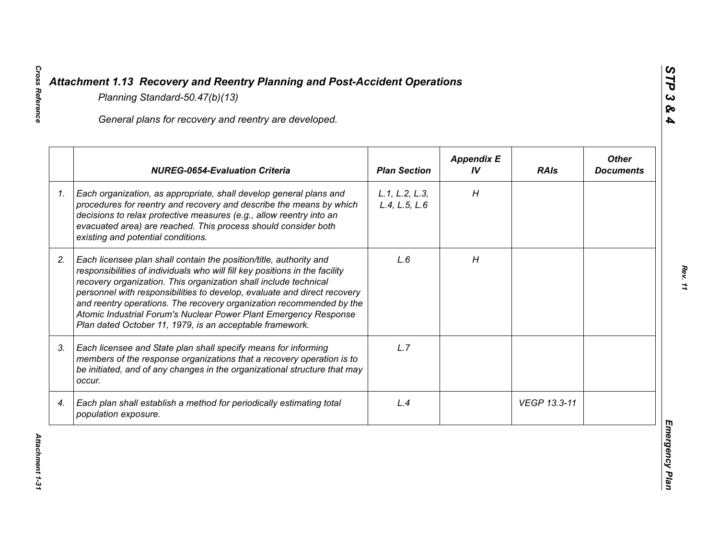|    | General plans for recovery and reentry are developed.                                                                                                                                                                                                                                                                                                                                                                                                                                                     |                                 |                         |              |                                  |
|----|-----------------------------------------------------------------------------------------------------------------------------------------------------------------------------------------------------------------------------------------------------------------------------------------------------------------------------------------------------------------------------------------------------------------------------------------------------------------------------------------------------------|---------------------------------|-------------------------|--------------|----------------------------------|
|    | <b>NUREG-0654-Evaluation Criteria</b>                                                                                                                                                                                                                                                                                                                                                                                                                                                                     | <b>Plan Section</b>             | <b>Appendix E</b><br>IV | <b>RAIs</b>  | <b>Other</b><br><b>Documents</b> |
| 1. | Each organization, as appropriate, shall develop general plans and<br>procedures for reentry and recovery and describe the means by which<br>decisions to relax protective measures (e.g., allow reentry into an<br>evacuated area) are reached. This process should consider both<br>existing and potential conditions.                                                                                                                                                                                  | L.1, L.2, L.3,<br>L.4, L.5, L.6 | H                       |              |                                  |
| 2. | Each licensee plan shall contain the position/title, authority and<br>responsibilities of individuals who will fill key positions in the facility<br>recovery organization. This organization shall include technical<br>personnel with responsibilities to develop, evaluate and direct recovery<br>and reentry operations. The recovery organization recommended by the<br>Atomic Industrial Forum's Nuclear Power Plant Emergency Response<br>Plan dated October 11, 1979, is an acceptable framework. | L.6                             | H                       |              |                                  |
| 3. | Each licensee and State plan shall specify means for informing<br>members of the response organizations that a recovery operation is to<br>be initiated, and of any changes in the organizational structure that may<br>occur.                                                                                                                                                                                                                                                                            | L.7                             |                         |              |                                  |
| 4. | Each plan shall establish a method for periodically estimating total<br>population exposure.                                                                                                                                                                                                                                                                                                                                                                                                              | L.4                             |                         | VEGP 13.3-11 |                                  |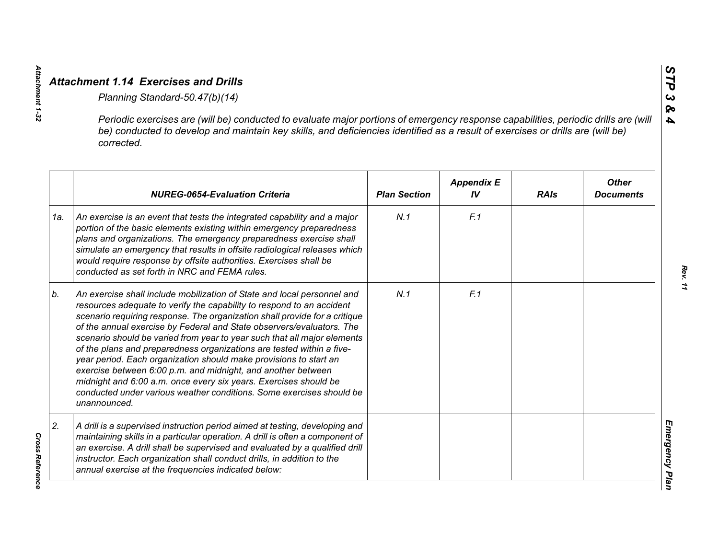|     | Periodic exercises are (will be) conducted to evaluate major portions of emergency response capabilities, periodic drills are (will<br>be) conducted to develop and maintain key skills, and deficiencies identified as a result of exercises or drills are (will be)<br>corrected.                                                                                                                                                                                                                                                                                                                                                                                                                                                                           |                     |                         |             |                                  |
|-----|---------------------------------------------------------------------------------------------------------------------------------------------------------------------------------------------------------------------------------------------------------------------------------------------------------------------------------------------------------------------------------------------------------------------------------------------------------------------------------------------------------------------------------------------------------------------------------------------------------------------------------------------------------------------------------------------------------------------------------------------------------------|---------------------|-------------------------|-------------|----------------------------------|
|     | <b>NUREG-0654-Evaluation Criteria</b>                                                                                                                                                                                                                                                                                                                                                                                                                                                                                                                                                                                                                                                                                                                         | <b>Plan Section</b> | <b>Appendix E</b><br>IV | <b>RAIs</b> | <b>Other</b><br><b>Documents</b> |
| 1a. | An exercise is an event that tests the integrated capability and a major<br>portion of the basic elements existing within emergency preparedness<br>plans and organizations. The emergency preparedness exercise shall<br>simulate an emergency that results in offsite radiological releases which<br>would require response by offsite authorities. Exercises shall be<br>conducted as set forth in NRC and FEMA rules.                                                                                                                                                                                                                                                                                                                                     | N.1                 | F.1                     |             |                                  |
| b.  | An exercise shall include mobilization of State and local personnel and<br>resources adequate to verify the capability to respond to an accident<br>scenario requiring response. The organization shall provide for a critique<br>of the annual exercise by Federal and State observers/evaluators. The<br>scenario should be varied from year to year such that all major elements<br>of the plans and preparedness organizations are tested within a five-<br>year period. Each organization should make provisions to start an<br>exercise between 6:00 p.m. and midnight, and another between<br>midnight and 6:00 a.m. once every six years. Exercises should be<br>conducted under various weather conditions. Some exercises should be<br>unannounced. | N.1                 | F.1                     |             |                                  |
| 2.  | A drill is a supervised instruction period aimed at testing, developing and<br>maintaining skills in a particular operation. A drill is often a component of<br>an exercise. A drill shall be supervised and evaluated by a qualified drill<br>instructor. Each organization shall conduct drills, in addition to the<br>annual exercise at the frequencies indicated below:                                                                                                                                                                                                                                                                                                                                                                                  |                     |                         |             |                                  |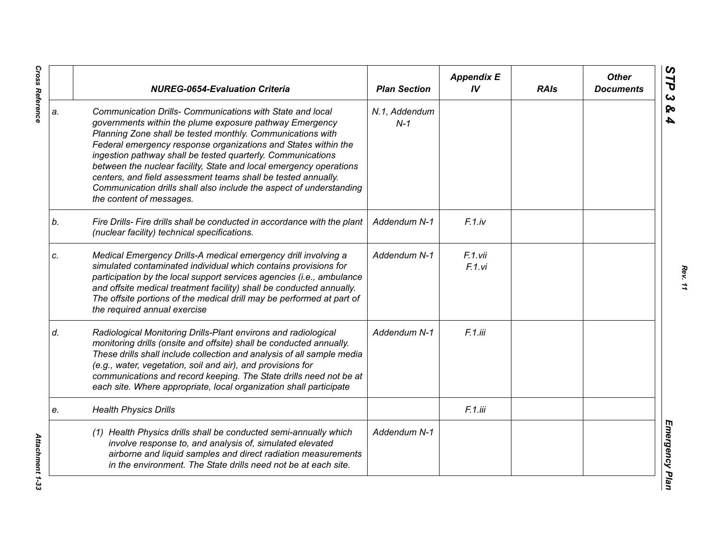|    | <b>NUREG-0654-Evaluation Criteria</b>                                                                                                                                                                                                                                                                                                                                                                                                                                                                                                                         | <b>Plan Section</b>    | <b>Appendix E</b><br>IV | <b>RAIs</b> | <b>Other</b><br><b>Documents</b> |
|----|---------------------------------------------------------------------------------------------------------------------------------------------------------------------------------------------------------------------------------------------------------------------------------------------------------------------------------------------------------------------------------------------------------------------------------------------------------------------------------------------------------------------------------------------------------------|------------------------|-------------------------|-------------|----------------------------------|
| a. | Communication Drills- Communications with State and local<br>governments within the plume exposure pathway Emergency<br>Planning Zone shall be tested monthly. Communications with<br>Federal emergency response organizations and States within the<br>ingestion pathway shall be tested quarterly. Communications<br>between the nuclear facility, State and local emergency operations<br>centers, and field assessment teams shall be tested annually.<br>Communication drills shall also include the aspect of understanding<br>the content of messages. | N.1, Addendum<br>$N-1$ |                         |             |                                  |
| b. | Fire Drills- Fire drills shall be conducted in accordance with the plant<br>(nuclear facility) technical specifications.                                                                                                                                                                                                                                                                                                                                                                                                                                      | Addendum N-1           | F.1iv                   |             |                                  |
| c. | Medical Emergency Drills-A medical emergency drill involving a<br>simulated contaminated individual which contains provisions for<br>participation by the local support services agencies (i.e., ambulance<br>and offsite medical treatment facility) shall be conducted annually.<br>The offsite portions of the medical drill may be performed at part of<br>the required annual exercise                                                                                                                                                                   | Addendum N-1           | F.1.vii<br>F.1.vi       |             |                                  |
| d. | Radiological Monitoring Drills-Plant environs and radiological<br>monitoring drills (onsite and offsite) shall be conducted annually.<br>These drills shall include collection and analysis of all sample media<br>(e.g., water, vegetation, soil and air), and provisions for<br>communications and record keeping. The State drills need not be at<br>each site. Where appropriate, local organization shall participate                                                                                                                                    | Addendum N-1           | F.1.iii                 |             |                                  |
| e. | <b>Health Physics Drills</b>                                                                                                                                                                                                                                                                                                                                                                                                                                                                                                                                  |                        | F.1.iii                 |             |                                  |
|    | (1) Health Physics drills shall be conducted semi-annually which<br>involve response to, and analysis of, simulated elevated<br>airborne and liquid samples and direct radiation measurements<br>in the environment. The State drills need not be at each site.                                                                                                                                                                                                                                                                                               | Addendum N-1           |                         |             |                                  |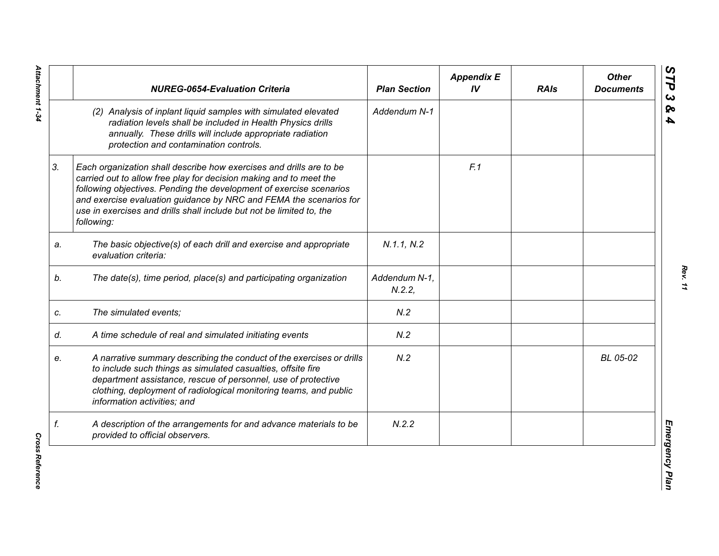|    | <b>NUREG-0654-Evaluation Criteria</b>                                                                                                                                                                                                                                                                                                                                        | <b>Plan Section</b>    | <b>Appendix E</b><br>IV | <b>RAIs</b> | <b>Other</b><br><b>Documents</b> |
|----|------------------------------------------------------------------------------------------------------------------------------------------------------------------------------------------------------------------------------------------------------------------------------------------------------------------------------------------------------------------------------|------------------------|-------------------------|-------------|----------------------------------|
|    | (2) Analysis of inplant liquid samples with simulated elevated<br>radiation levels shall be included in Health Physics drills<br>annually. These drills will include appropriate radiation<br>protection and contamination controls.                                                                                                                                         | Addendum N-1           |                         |             |                                  |
| 3. | Each organization shall describe how exercises and drills are to be<br>carried out to allow free play for decision making and to meet the<br>following objectives. Pending the development of exercise scenarios<br>and exercise evaluation guidance by NRC and FEMA the scenarios for<br>use in exercises and drills shall include but not be limited to, the<br>following: |                        | F.1                     |             |                                  |
| a. | The basic objective(s) of each drill and exercise and appropriate<br>evaluation criteria:                                                                                                                                                                                                                                                                                    | N.1.1, N.2             |                         |             |                                  |
| b. | The date(s), time period, place(s) and participating organization                                                                                                                                                                                                                                                                                                            | Addendum N-1,<br>N.2.2 |                         |             |                                  |
| c. | The simulated events;                                                                                                                                                                                                                                                                                                                                                        | N.2                    |                         |             |                                  |
| d. | A time schedule of real and simulated initiating events                                                                                                                                                                                                                                                                                                                      | N.2                    |                         |             |                                  |
| е. | A narrative summary describing the conduct of the exercises or drills<br>to include such things as simulated casualties, offsite fire<br>department assistance, rescue of personnel, use of protective<br>clothing, deployment of radiological monitoring teams, and public<br>information activities; and                                                                   | N.2                    |                         |             | BL 05-02                         |
| f. | A description of the arrangements for and advance materials to be<br>provided to official observers.                                                                                                                                                                                                                                                                         | N.2.2                  |                         |             |                                  |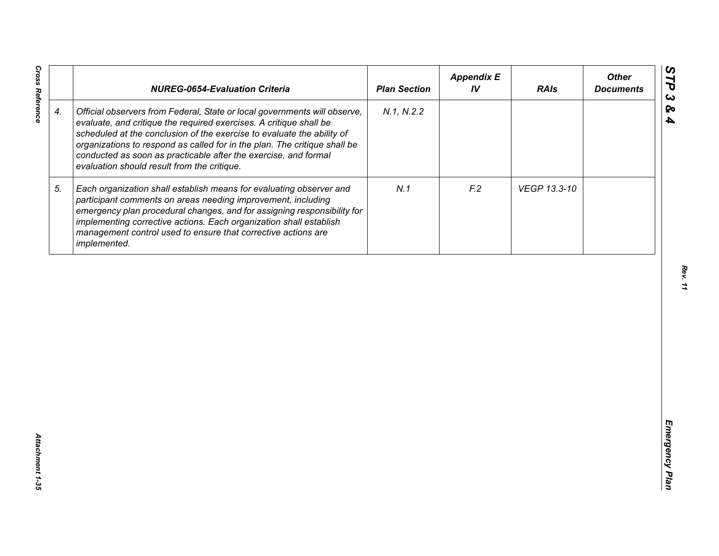|                    | <b>NUREG-0654-Evaluation Criteria</b>                                                                                                                                                                                                                                                                                                                                                                                    | <b>Plan Section</b> | <b>Appendix E</b><br>IV | <b>RAIs</b>  | <b>Other</b><br><b>Documents</b> |
|--------------------|--------------------------------------------------------------------------------------------------------------------------------------------------------------------------------------------------------------------------------------------------------------------------------------------------------------------------------------------------------------------------------------------------------------------------|---------------------|-------------------------|--------------|----------------------------------|
| $\boldsymbol{4}$ . | Official observers from Federal, State or local governments will observe,<br>evaluate, and critique the required exercises. A critique shall be<br>scheduled at the conclusion of the exercise to evaluate the ability of<br>organizations to respond as called for in the plan. The critique shall be<br>conducted as soon as practicable after the exercise, and formal<br>evaluation should result from the critique. | N.1, N.2.2          |                         |              |                                  |
| 5.                 | Each organization shall establish means for evaluating observer and<br>participant comments on areas needing improvement, including<br>emergency plan procedural changes, and for assigning responsibility for<br>implementing corrective actions. Each organization shall establish<br>management control used to ensure that corrective actions are<br>implemented.                                                    | N.1                 | F <sub>2</sub>          | VEGP 13.3-10 |                                  |
|                    |                                                                                                                                                                                                                                                                                                                                                                                                                          |                     |                         |              |                                  |
|                    |                                                                                                                                                                                                                                                                                                                                                                                                                          |                     |                         |              |                                  |
|                    |                                                                                                                                                                                                                                                                                                                                                                                                                          |                     |                         |              |                                  |
|                    |                                                                                                                                                                                                                                                                                                                                                                                                                          |                     |                         |              |                                  |
|                    |                                                                                                                                                                                                                                                                                                                                                                                                                          |                     |                         |              |                                  |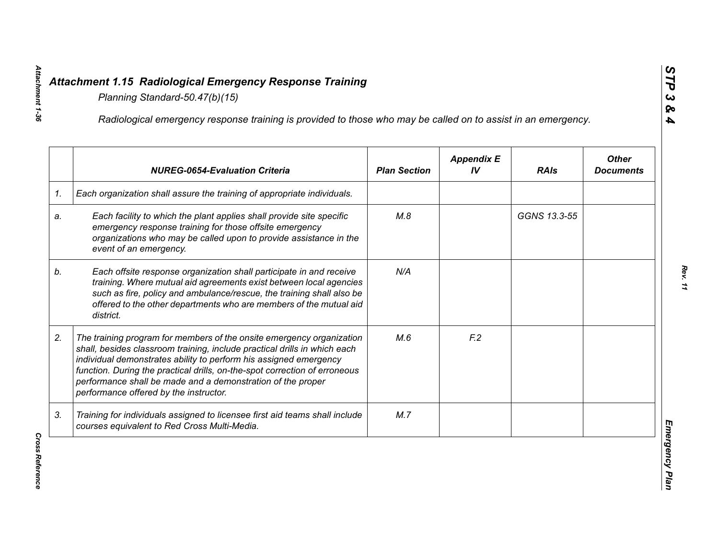|    | Radiological emergency response training is provided to those who may be called on to assist in an emergency.                                                                                                                                                                                                                                                                                                  |                     |                         |              |                                  |
|----|----------------------------------------------------------------------------------------------------------------------------------------------------------------------------------------------------------------------------------------------------------------------------------------------------------------------------------------------------------------------------------------------------------------|---------------------|-------------------------|--------------|----------------------------------|
|    | <b>NUREG-0654-Evaluation Criteria</b>                                                                                                                                                                                                                                                                                                                                                                          | <b>Plan Section</b> | <b>Appendix E</b><br>IV | <b>RAIs</b>  | <b>Other</b><br><b>Documents</b> |
| 1. | Each organization shall assure the training of appropriate individuals.                                                                                                                                                                                                                                                                                                                                        |                     |                         |              |                                  |
| a. | Each facility to which the plant applies shall provide site specific<br>emergency response training for those offsite emergency<br>organizations who may be called upon to provide assistance in the<br>event of an emergency.                                                                                                                                                                                 | M.8                 |                         | GGNS 13.3-55 |                                  |
| b. | Each offsite response organization shall participate in and receive<br>training. Where mutual aid agreements exist between local agencies<br>such as fire, policy and ambulance/rescue, the training shall also be<br>offered to the other departments who are members of the mutual aid<br>district.                                                                                                          | N/A                 |                         |              |                                  |
| 2. | The training program for members of the onsite emergency organization<br>shall, besides classroom training, include practical drills in which each<br>individual demonstrates ability to perform his assigned emergency<br>function. During the practical drills, on-the-spot correction of erroneous<br>performance shall be made and a demonstration of the proper<br>performance offered by the instructor. | M.6                 | F <sub>12</sub>         |              |                                  |
| 3. | Training for individuals assigned to licensee first aid teams shall include<br>courses equivalent to Red Cross Multi-Media.                                                                                                                                                                                                                                                                                    | M.7                 |                         |              |                                  |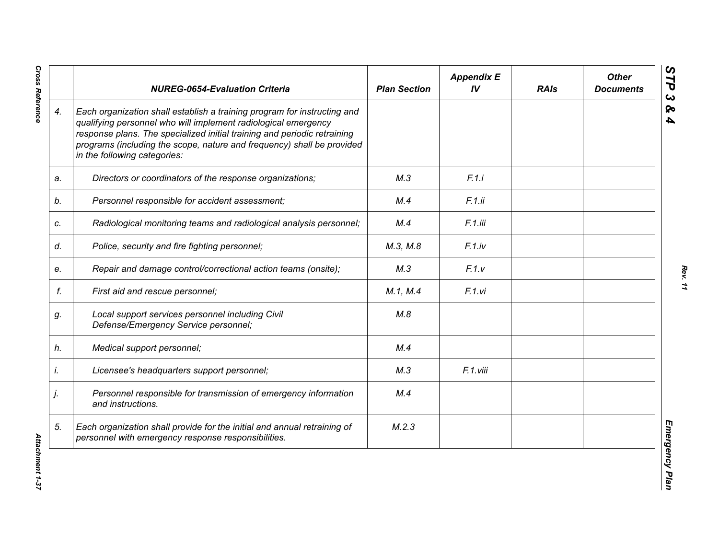|    | <b>NUREG-0654-Evaluation Criteria</b>                                                                                                                                                                                                                                                                                            | <b>Plan Section</b> | <b>Appendix E</b><br>IV | <b>RAIs</b> | <b>Other</b><br><b>Documents</b> |
|----|----------------------------------------------------------------------------------------------------------------------------------------------------------------------------------------------------------------------------------------------------------------------------------------------------------------------------------|---------------------|-------------------------|-------------|----------------------------------|
| 4. | Each organization shall establish a training program for instructing and<br>qualifying personnel who will implement radiological emergency<br>response plans. The specialized initial training and periodic retraining<br>programs (including the scope, nature and frequency) shall be provided<br>in the following categories: |                     |                         |             |                                  |
| a. | Directors or coordinators of the response organizations;                                                                                                                                                                                                                                                                         | M.3                 | F.1.i                   |             |                                  |
| b. | Personnel responsible for accident assessment;                                                                                                                                                                                                                                                                                   | M.4                 | F.1.ii                  |             |                                  |
| c. | Radiological monitoring teams and radiological analysis personnel;                                                                                                                                                                                                                                                               | M.4                 | F.1.iii                 |             |                                  |
| d. | Police, security and fire fighting personnel;                                                                                                                                                                                                                                                                                    | M.3, M.8            | F.1(iv                  |             |                                  |
| е. | Repair and damage control/correctional action teams (onsite);                                                                                                                                                                                                                                                                    | M.3                 | F.1.v                   |             |                                  |
| f. | First aid and rescue personnel;                                                                                                                                                                                                                                                                                                  | M.1, M.4            | F.1.vi                  |             |                                  |
| g. | Local support services personnel including Civil<br>Defense/Emergency Service personnel;                                                                                                                                                                                                                                         | M.8                 |                         |             |                                  |
| h. | Medical support personnel;                                                                                                                                                                                                                                                                                                       | M.4                 |                         |             |                                  |
| İ. | Licensee's headquarters support personnel;                                                                                                                                                                                                                                                                                       | M.3                 | F.1.viii                |             |                                  |
| j. | Personnel responsible for transmission of emergency information<br>and instructions.                                                                                                                                                                                                                                             | M.4                 |                         |             |                                  |
| 5. | Each organization shall provide for the initial and annual retraining of<br>personnel with emergency response responsibilities.                                                                                                                                                                                                  | M.2.3               |                         |             |                                  |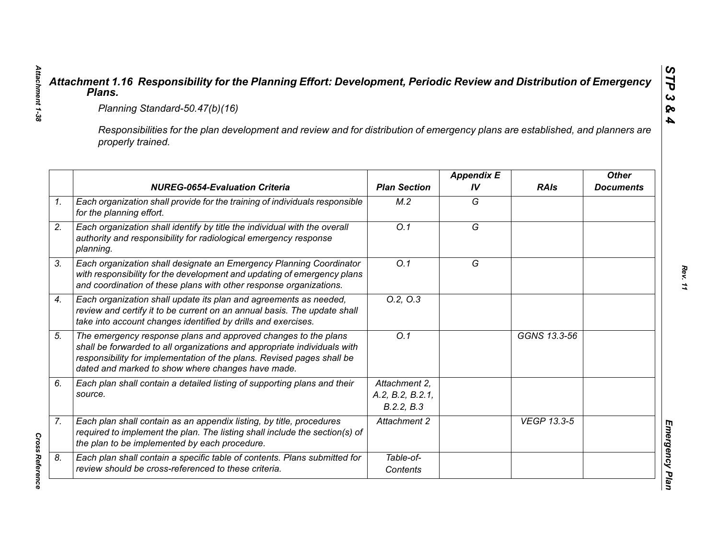|                                                                                                                                                     | Planning Standard-50.47(b)(16)                                                                                                                                                                                                                                            |                                                 |                         |                    |                                  |  |
|-----------------------------------------------------------------------------------------------------------------------------------------------------|---------------------------------------------------------------------------------------------------------------------------------------------------------------------------------------------------------------------------------------------------------------------------|-------------------------------------------------|-------------------------|--------------------|----------------------------------|--|
| Responsibilities for the plan development and review and for distribution of emergency plans are established, and planners are<br>properly trained. |                                                                                                                                                                                                                                                                           |                                                 |                         |                    |                                  |  |
|                                                                                                                                                     | <b>NUREG-0654-Evaluation Criteria</b>                                                                                                                                                                                                                                     | <b>Plan Section</b>                             | <b>Appendix E</b><br>IV | <b>RAIs</b>        | <b>Other</b><br><b>Documents</b> |  |
|                                                                                                                                                     | Each organization shall provide for the training of individuals responsible<br>for the planning effort.                                                                                                                                                                   | M.2                                             | G                       |                    |                                  |  |
|                                                                                                                                                     | Each organization shall identify by title the individual with the overall<br>authority and responsibility for radiological emergency response<br>planning.                                                                                                                | $\overline{O.1}$                                | $\overline{G}$          |                    |                                  |  |
|                                                                                                                                                     | Each organization shall designate an Emergency Planning Coordinator<br>with responsibility for the development and updating of emergency plans<br>and coordination of these plans with other response organizations.                                                      | O.1                                             | G                       |                    |                                  |  |
|                                                                                                                                                     | Each organization shall update its plan and agreements as needed,<br>review and certify it to be current on an annual basis. The update shall<br>take into account changes identified by drills and exercises.                                                            | 0.2, 0.3                                        |                         |                    |                                  |  |
|                                                                                                                                                     | The emergency response plans and approved changes to the plans<br>shall be forwarded to all organizations and appropriate individuals with<br>responsibility for implementation of the plans. Revised pages shall be<br>dated and marked to show where changes have made. | Q.1                                             |                         | GGNS 13.3-56       |                                  |  |
| source.                                                                                                                                             | Each plan shall contain a detailed listing of supporting plans and their                                                                                                                                                                                                  | Attachment 2.<br>A.2, B.2, B.2.1,<br>B.2.2, B.3 |                         |                    |                                  |  |
|                                                                                                                                                     | Each plan shall contain as an appendix listing, by title, procedures<br>required to implement the plan. The listing shall include the section(s) of<br>the plan to be implemented by each procedure.                                                                      | Attachment 2                                    |                         | <b>VEGP 13.3-5</b> |                                  |  |
|                                                                                                                                                     | Each plan shall contain a specific table of contents. Plans submitted for<br>review should be cross-referenced to these criteria.                                                                                                                                         | Table-of-<br>Contents                           |                         |                    |                                  |  |

*Attachment 1-38*